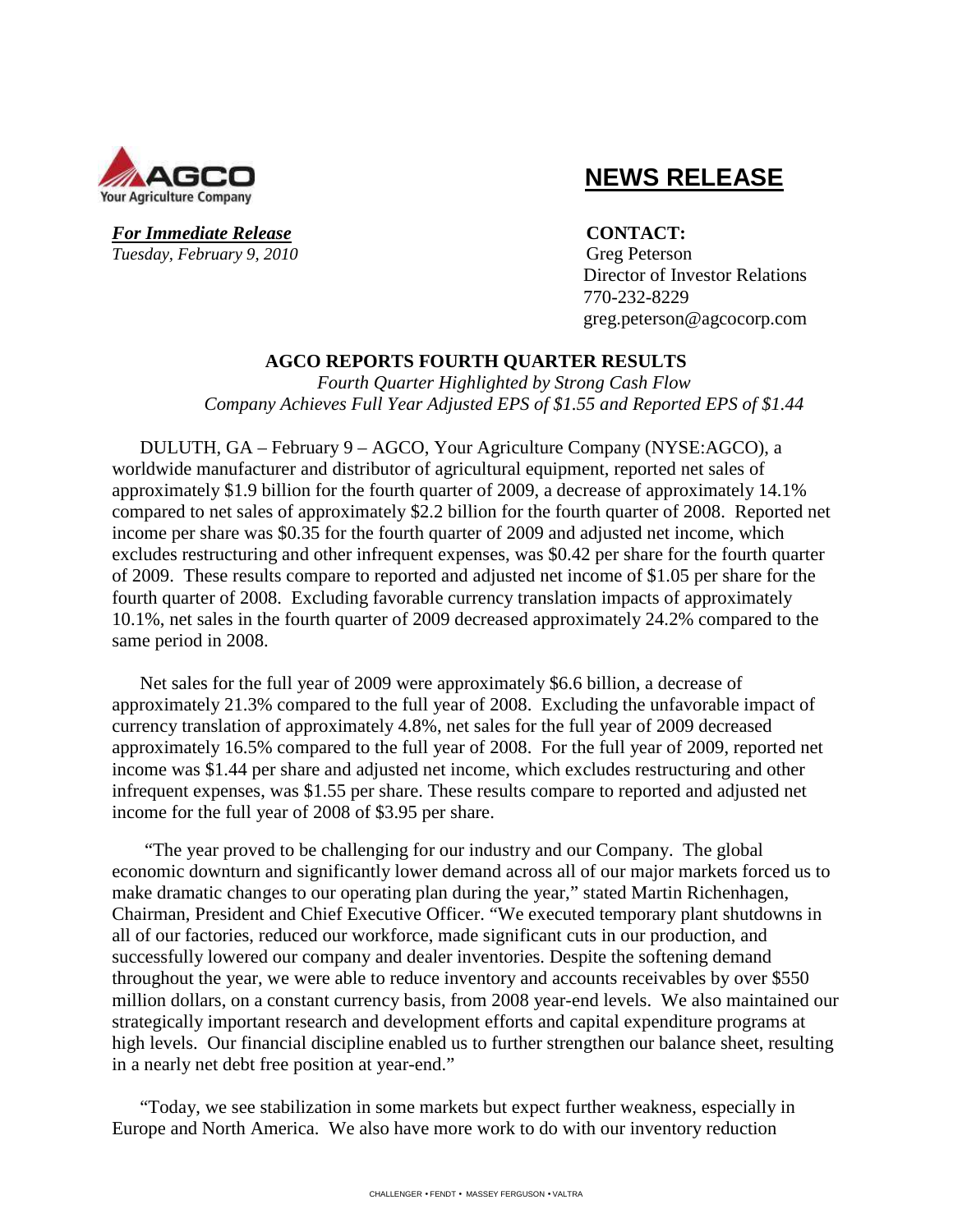

# **NEWS RELEASE**

For Immediate Release **CONTACT**: *Tuesday, February 9, 2010* Greg Peterson

 Director of Investor Relations 770-232-8229 greg.peterson@agcocorp.com

## **AGCO REPORTS FOURTH QUARTER RESULTS**

*Fourth Quarter Highlighted by Strong Cash Flow Company Achieves Full Year Adjusted EPS of \$1.55 and Reported EPS of \$1.44* 

DULUTH, GA – February 9 – AGCO, Your Agriculture Company (NYSE:AGCO), a worldwide manufacturer and distributor of agricultural equipment, reported net sales of approximately \$1.9 billion for the fourth quarter of 2009, a decrease of approximately 14.1% compared to net sales of approximately \$2.2 billion for the fourth quarter of 2008. Reported net income per share was \$0.35 for the fourth quarter of 2009 and adjusted net income, which excludes restructuring and other infrequent expenses, was \$0.42 per share for the fourth quarter of 2009. These results compare to reported and adjusted net income of \$1.05 per share for the fourth quarter of 2008. Excluding favorable currency translation impacts of approximately 10.1%, net sales in the fourth quarter of 2009 decreased approximately 24.2% compared to the same period in 2008.

Net sales for the full year of 2009 were approximately \$6.6 billion, a decrease of approximately 21.3% compared to the full year of 2008. Excluding the unfavorable impact of currency translation of approximately 4.8%, net sales for the full year of 2009 decreased approximately 16.5% compared to the full year of 2008. For the full year of 2009, reported net income was \$1.44 per share and adjusted net income, which excludes restructuring and other infrequent expenses, was \$1.55 per share. These results compare to reported and adjusted net income for the full year of 2008 of \$3.95 per share.

 "The year proved to be challenging for our industry and our Company. The global economic downturn and significantly lower demand across all of our major markets forced us to make dramatic changes to our operating plan during the year," stated Martin Richenhagen, Chairman, President and Chief Executive Officer. "We executed temporary plant shutdowns in all of our factories, reduced our workforce, made significant cuts in our production, and successfully lowered our company and dealer inventories. Despite the softening demand throughout the year, we were able to reduce inventory and accounts receivables by over \$550 million dollars, on a constant currency basis, from 2008 year-end levels. We also maintained our strategically important research and development efforts and capital expenditure programs at high levels. Our financial discipline enabled us to further strengthen our balance sheet, resulting in a nearly net debt free position at year-end."

"Today, we see stabilization in some markets but expect further weakness, especially in Europe and North America. We also have more work to do with our inventory reduction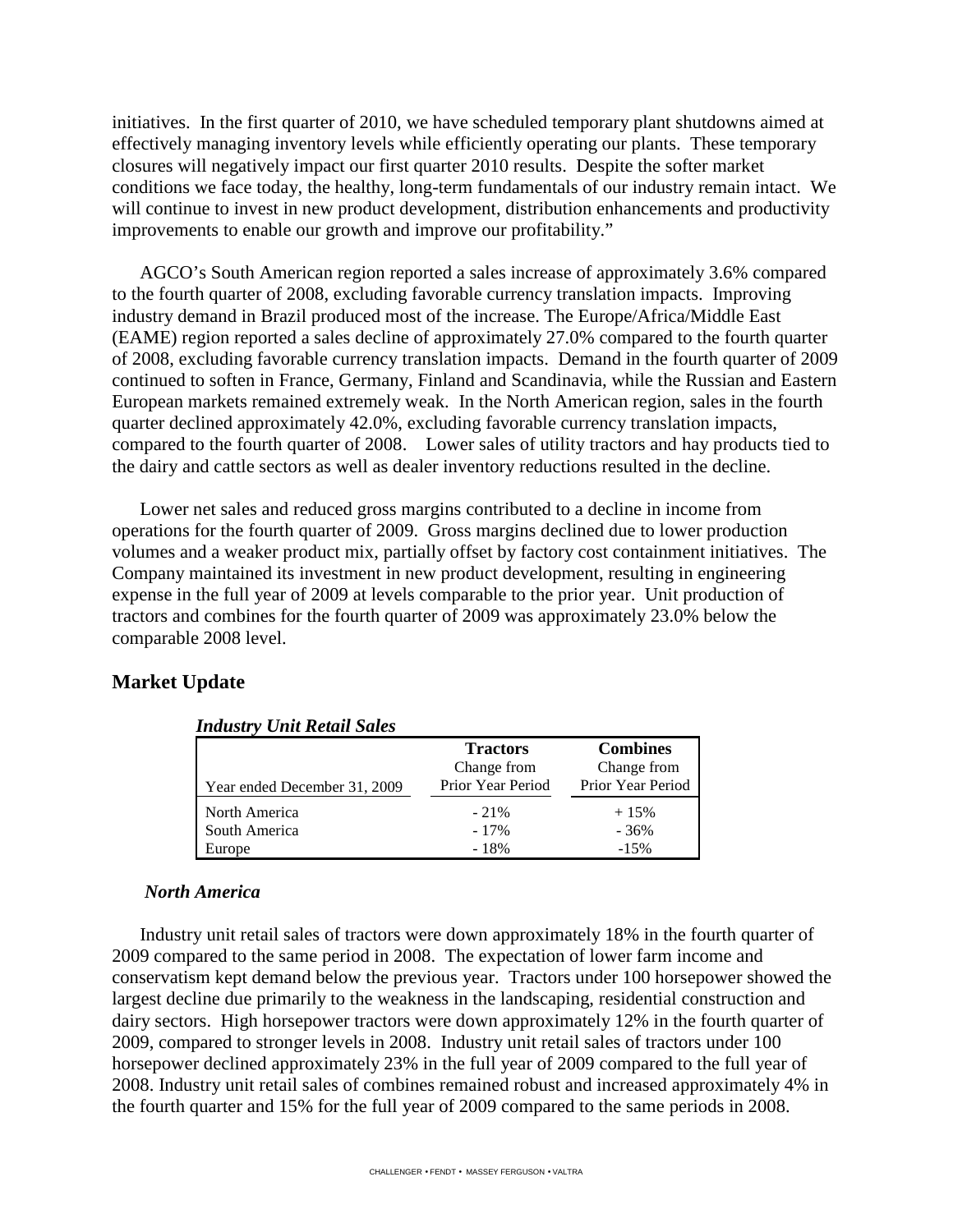initiatives. In the first quarter of 2010, we have scheduled temporary plant shutdowns aimed at effectively managing inventory levels while efficiently operating our plants. These temporary closures will negatively impact our first quarter 2010 results. Despite the softer market conditions we face today, the healthy, long-term fundamentals of our industry remain intact. We will continue to invest in new product development, distribution enhancements and productivity improvements to enable our growth and improve our profitability."

AGCO's South American region reported a sales increase of approximately 3.6% compared to the fourth quarter of 2008, excluding favorable currency translation impacts. Improving industry demand in Brazil produced most of the increase. The Europe/Africa/Middle East (EAME) region reported a sales decline of approximately 27.0% compared to the fourth quarter of 2008, excluding favorable currency translation impacts. Demand in the fourth quarter of 2009 continued to soften in France, Germany, Finland and Scandinavia, while the Russian and Eastern European markets remained extremely weak. In the North American region, sales in the fourth quarter declined approximately 42.0%, excluding favorable currency translation impacts, compared to the fourth quarter of 2008. Lower sales of utility tractors and hay products tied to the dairy and cattle sectors as well as dealer inventory reductions resulted in the decline.

Lower net sales and reduced gross margins contributed to a decline in income from operations for the fourth quarter of 2009. Gross margins declined due to lower production volumes and a weaker product mix, partially offset by factory cost containment initiatives. The Company maintained its investment in new product development, resulting in engineering expense in the full year of 2009 at levels comparable to the prior year. Unit production of tractors and combines for the fourth quarter of 2009 was approximately 23.0% below the comparable 2008 level.

## **Market Update**

| Inausiry Unu Kelau Sales     |                   |                   |
|------------------------------|-------------------|-------------------|
|                              | <b>Tractors</b>   | <b>Combines</b>   |
|                              | Change from       | Change from       |
| Year ended December 31, 2009 | Prior Year Period | Prior Year Period |
| North America                | $-21%$            | $+15%$            |
| South America                | $-17\%$           | $-36%$            |
| Europe                       | $-18%$            | $-15%$            |

## *Industry Unit Retail Sales*

#### *North America*

Industry unit retail sales of tractors were down approximately 18% in the fourth quarter of 2009 compared to the same period in 2008. The expectation of lower farm income and conservatism kept demand below the previous year. Tractors under 100 horsepower showed the largest decline due primarily to the weakness in the landscaping, residential construction and dairy sectors. High horsepower tractors were down approximately 12% in the fourth quarter of 2009, compared to stronger levels in 2008. Industry unit retail sales of tractors under 100 horsepower declined approximately 23% in the full year of 2009 compared to the full year of 2008. Industry unit retail sales of combines remained robust and increased approximately 4% in the fourth quarter and 15% for the full year of 2009 compared to the same periods in 2008.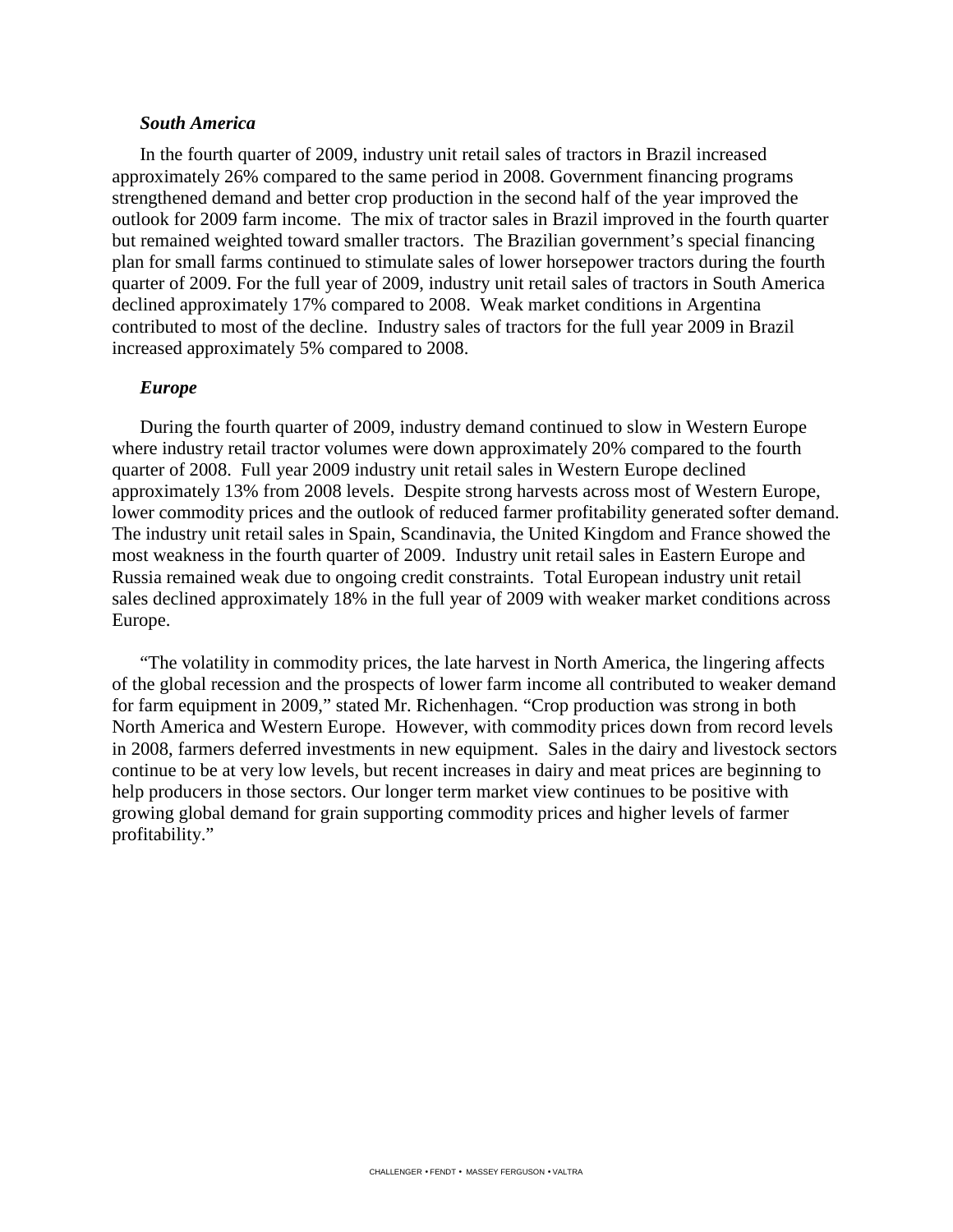#### *South America*

In the fourth quarter of 2009, industry unit retail sales of tractors in Brazil increased approximately 26% compared to the same period in 2008. Government financing programs strengthened demand and better crop production in the second half of the year improved the outlook for 2009 farm income. The mix of tractor sales in Brazil improved in the fourth quarter but remained weighted toward smaller tractors. The Brazilian government's special financing plan for small farms continued to stimulate sales of lower horsepower tractors during the fourth quarter of 2009. For the full year of 2009, industry unit retail sales of tractors in South America declined approximately 17% compared to 2008. Weak market conditions in Argentina contributed to most of the decline. Industry sales of tractors for the full year 2009 in Brazil increased approximately 5% compared to 2008.

#### *Europe*

During the fourth quarter of 2009, industry demand continued to slow in Western Europe where industry retail tractor volumes were down approximately 20% compared to the fourth quarter of 2008. Full year 2009 industry unit retail sales in Western Europe declined approximately 13% from 2008 levels. Despite strong harvests across most of Western Europe, lower commodity prices and the outlook of reduced farmer profitability generated softer demand. The industry unit retail sales in Spain, Scandinavia, the United Kingdom and France showed the most weakness in the fourth quarter of 2009. Industry unit retail sales in Eastern Europe and Russia remained weak due to ongoing credit constraints. Total European industry unit retail sales declined approximately 18% in the full year of 2009 with weaker market conditions across Europe.

"The volatility in commodity prices, the late harvest in North America, the lingering affects of the global recession and the prospects of lower farm income all contributed to weaker demand for farm equipment in 2009," stated Mr. Richenhagen. "Crop production was strong in both North America and Western Europe. However, with commodity prices down from record levels in 2008, farmers deferred investments in new equipment. Sales in the dairy and livestock sectors continue to be at very low levels, but recent increases in dairy and meat prices are beginning to help producers in those sectors. Our longer term market view continues to be positive with growing global demand for grain supporting commodity prices and higher levels of farmer profitability."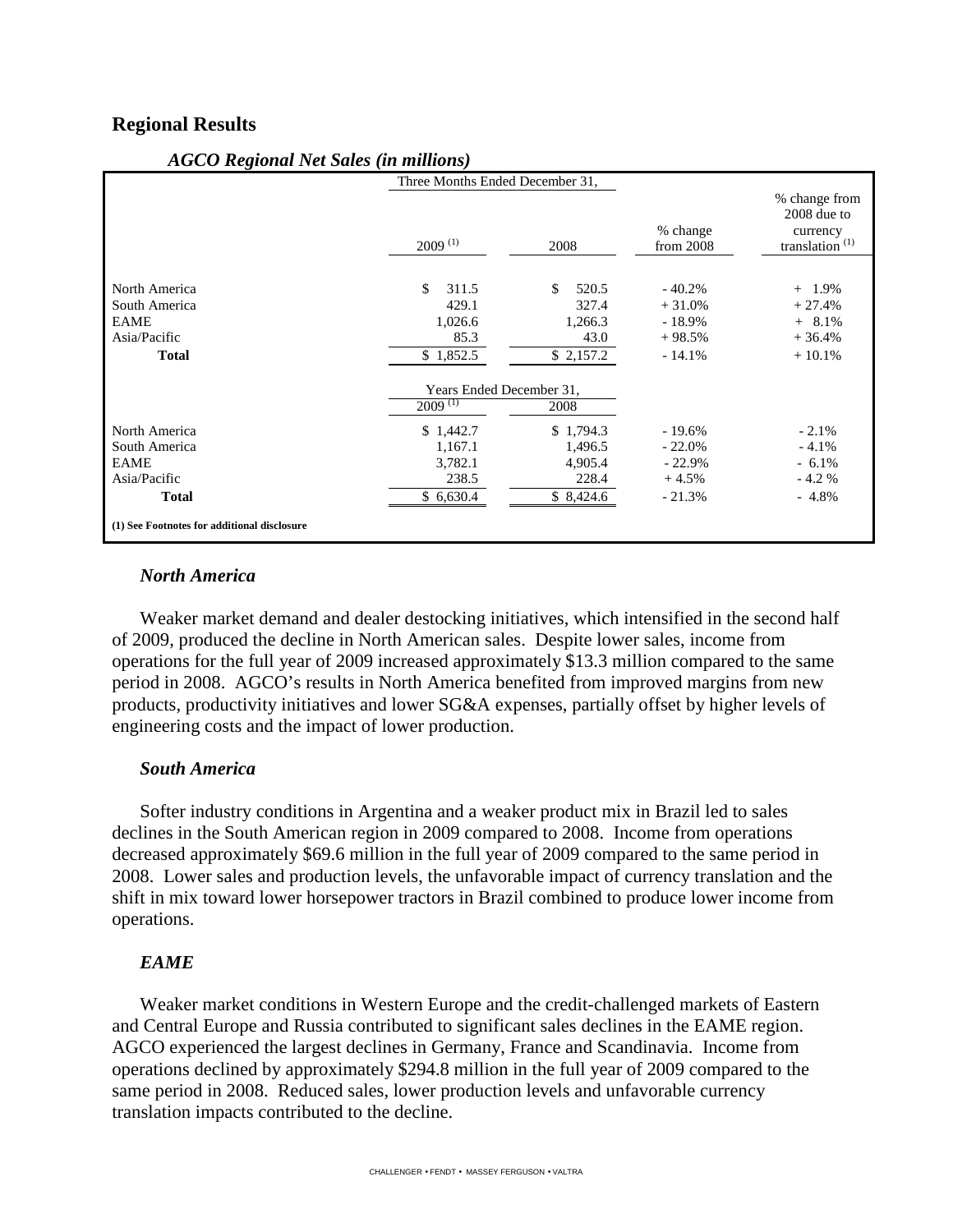## **Regional Results**

| $11000$ Tregional Tree Banes (in minimums)                                    | Three Months Ended December 31,                       |                                                       |                                                           |                                                                          |
|-------------------------------------------------------------------------------|-------------------------------------------------------|-------------------------------------------------------|-----------------------------------------------------------|--------------------------------------------------------------------------|
|                                                                               | $2009$ <sup>(1)</sup>                                 | 2008                                                  | % change<br>from 2008                                     | % change from<br>$2008$ due to<br>currency<br>translation <sup>(1)</sup> |
| North America<br>South America<br><b>EAME</b><br>Asia/Pacific<br><b>Total</b> | \$<br>311.5<br>429.1<br>1,026.6<br>85.3<br>\$1,852.5  | \$<br>520.5<br>327.4<br>1,266.3<br>43.0<br>\$2,157.2  | $-40.2%$<br>$+31.0%$<br>$-18.9\%$<br>$+98.5%$<br>$-14.1%$ | $+ 1.9%$<br>$+27.4%$<br>$+ 8.1\%$<br>$+36.4%$<br>$+10.1%$                |
|                                                                               | Years Ended December 31,                              |                                                       |                                                           |                                                                          |
|                                                                               | $200\overline{9}^{(1)}$                               | 2008                                                  |                                                           |                                                                          |
| North America<br>South America<br><b>EAME</b><br>Asia/Pacific<br><b>Total</b> | \$1,442.7<br>1,167.1<br>3,782.1<br>238.5<br>\$6,630.4 | \$1,794.3<br>1,496.5<br>4,905.4<br>228.4<br>\$8,424.6 | $-19.6%$<br>$-22.0%$<br>$-22.9%$<br>$+4.5%$<br>$-21.3%$   | $-2.1%$<br>$-4.1%$<br>$-6.1\%$<br>$-4.2%$<br>$-4.8\%$                    |
| (1) See Footnotes for additional disclosure                                   |                                                       |                                                       |                                                           |                                                                          |

#### *AGCO Regional Net Sales (in millions)*

#### *North America*

Weaker market demand and dealer destocking initiatives, which intensified in the second half of 2009, produced the decline in North American sales. Despite lower sales, income from operations for the full year of 2009 increased approximately \$13.3 million compared to the same period in 2008. AGCO's results in North America benefited from improved margins from new products, productivity initiatives and lower SG&A expenses, partially offset by higher levels of engineering costs and the impact of lower production.

#### *South America*

Softer industry conditions in Argentina and a weaker product mix in Brazil led to sales declines in the South American region in 2009 compared to 2008. Income from operations decreased approximately \$69.6 million in the full year of 2009 compared to the same period in 2008. Lower sales and production levels, the unfavorable impact of currency translation and the shift in mix toward lower horsepower tractors in Brazil combined to produce lower income from operations.

## *EAME*

Weaker market conditions in Western Europe and the credit-challenged markets of Eastern and Central Europe and Russia contributed to significant sales declines in the EAME region. AGCO experienced the largest declines in Germany, France and Scandinavia. Income from operations declined by approximately \$294.8 million in the full year of 2009 compared to the same period in 2008. Reduced sales, lower production levels and unfavorable currency translation impacts contributed to the decline.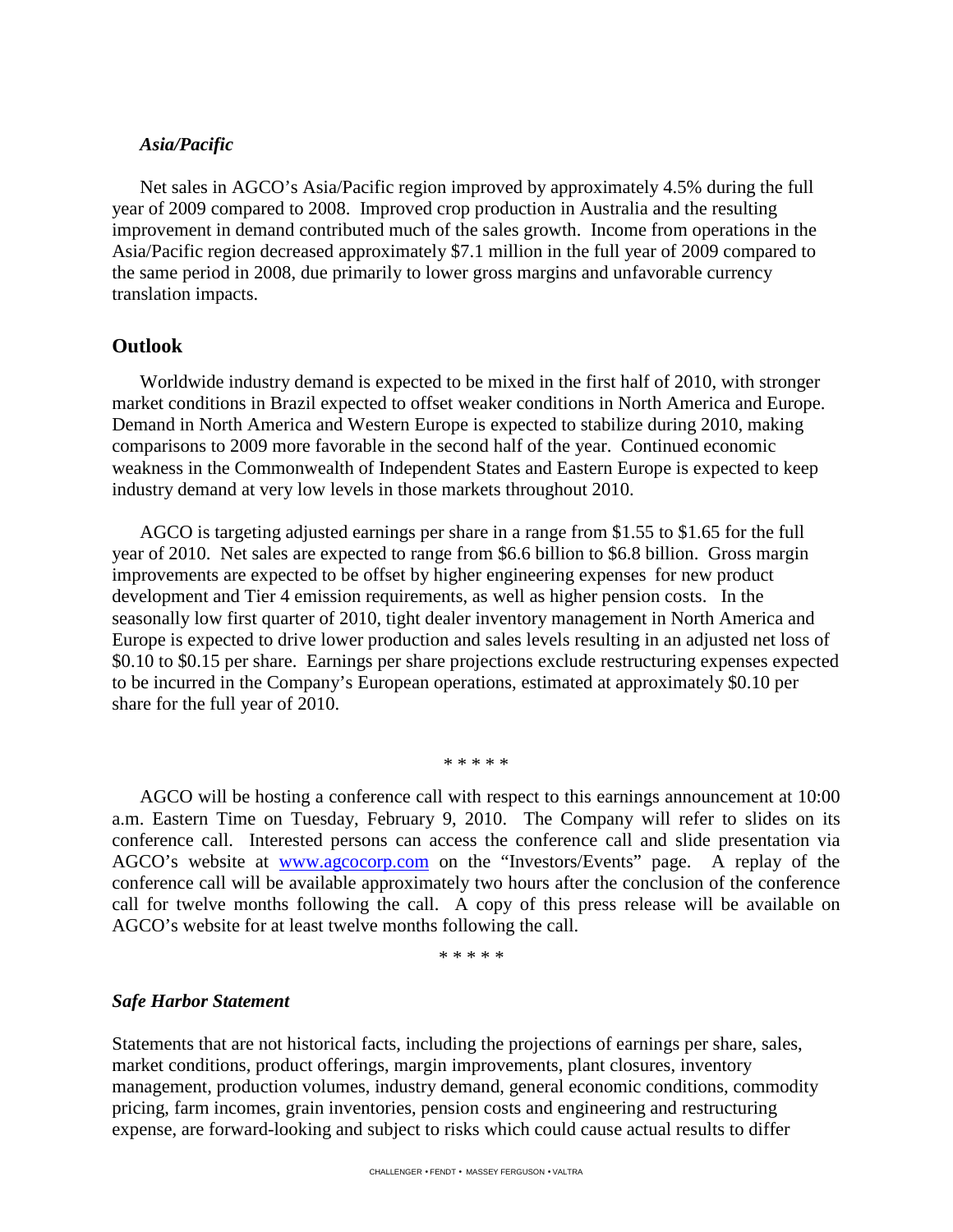## *Asia/Pacific*

Net sales in AGCO's Asia/Pacific region improved by approximately 4.5% during the full year of 2009 compared to 2008. Improved crop production in Australia and the resulting improvement in demand contributed much of the sales growth. Income from operations in the Asia/Pacific region decreased approximately \$7.1 million in the full year of 2009 compared to the same period in 2008, due primarily to lower gross margins and unfavorable currency translation impacts.

#### **Outlook**

Worldwide industry demand is expected to be mixed in the first half of 2010, with stronger market conditions in Brazil expected to offset weaker conditions in North America and Europe. Demand in North America and Western Europe is expected to stabilize during 2010, making comparisons to 2009 more favorable in the second half of the year. Continued economic weakness in the Commonwealth of Independent States and Eastern Europe is expected to keep industry demand at very low levels in those markets throughout 2010.

AGCO is targeting adjusted earnings per share in a range from \$1.55 to \$1.65 for the full year of 2010. Net sales are expected to range from \$6.6 billion to \$6.8 billion. Gross margin improvements are expected to be offset by higher engineering expenses for new product development and Tier 4 emission requirements, as well as higher pension costs. In the seasonally low first quarter of 2010, tight dealer inventory management in North America and Europe is expected to drive lower production and sales levels resulting in an adjusted net loss of \$0.10 to \$0.15 per share. Earnings per share projections exclude restructuring expenses expected to be incurred in the Company's European operations, estimated at approximately \$0.10 per share for the full year of 2010.

\* \* \* \* \*

AGCO will be hosting a conference call with respect to this earnings announcement at 10:00 a.m. Eastern Time on Tuesday, February 9, 2010. The Company will refer to slides on its conference call. Interested persons can access the conference call and slide presentation via AGCO's website at <u>www.agcocorp.com</u> on the "Investors/Events" page. A replay of the conference call will be available approximately two hours after the conclusion of the conference call for twelve months following the call. A copy of this press release will be available on AGCO's website for at least twelve months following the call.

\* \* \* \* \*

#### *Safe Harbor Statement*

Statements that are not historical facts, including the projections of earnings per share, sales, market conditions, product offerings, margin improvements, plant closures, inventory management, production volumes, industry demand, general economic conditions, commodity pricing, farm incomes, grain inventories, pension costs and engineering and restructuring expense, are forward-looking and subject to risks which could cause actual results to differ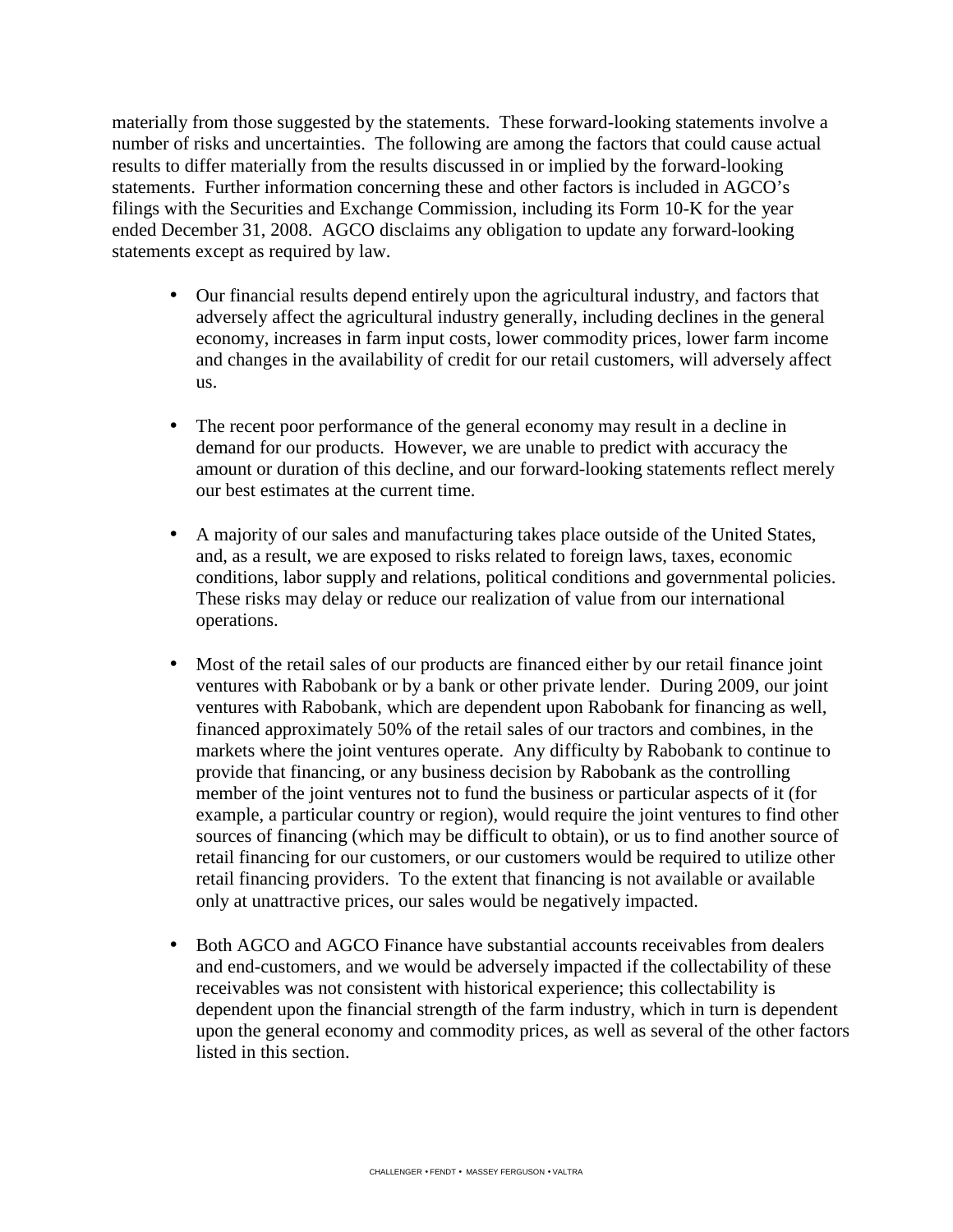materially from those suggested by the statements. These forward-looking statements involve a number of risks and uncertainties. The following are among the factors that could cause actual results to differ materially from the results discussed in or implied by the forward-looking statements. Further information concerning these and other factors is included in AGCO's filings with the Securities and Exchange Commission, including its Form 10-K for the year ended December 31, 2008. AGCO disclaims any obligation to update any forward-looking statements except as required by law.

- Our financial results depend entirely upon the agricultural industry, and factors that adversely affect the agricultural industry generally, including declines in the general economy, increases in farm input costs, lower commodity prices, lower farm income and changes in the availability of credit for our retail customers, will adversely affect us.
- The recent poor performance of the general economy may result in a decline in demand for our products. However, we are unable to predict with accuracy the amount or duration of this decline, and our forward-looking statements reflect merely our best estimates at the current time.
- A majority of our sales and manufacturing takes place outside of the United States, and, as a result, we are exposed to risks related to foreign laws, taxes, economic conditions, labor supply and relations, political conditions and governmental policies. These risks may delay or reduce our realization of value from our international operations.
- Most of the retail sales of our products are financed either by our retail finance joint ventures with Rabobank or by a bank or other private lender. During 2009, our joint ventures with Rabobank, which are dependent upon Rabobank for financing as well, financed approximately 50% of the retail sales of our tractors and combines, in the markets where the joint ventures operate. Any difficulty by Rabobank to continue to provide that financing, or any business decision by Rabobank as the controlling member of the joint ventures not to fund the business or particular aspects of it (for example, a particular country or region), would require the joint ventures to find other sources of financing (which may be difficult to obtain), or us to find another source of retail financing for our customers, or our customers would be required to utilize other retail financing providers. To the extent that financing is not available or available only at unattractive prices, our sales would be negatively impacted.
- Both AGCO and AGCO Finance have substantial accounts receivables from dealers and end-customers, and we would be adversely impacted if the collectability of these receivables was not consistent with historical experience; this collectability is dependent upon the financial strength of the farm industry, which in turn is dependent upon the general economy and commodity prices, as well as several of the other factors listed in this section.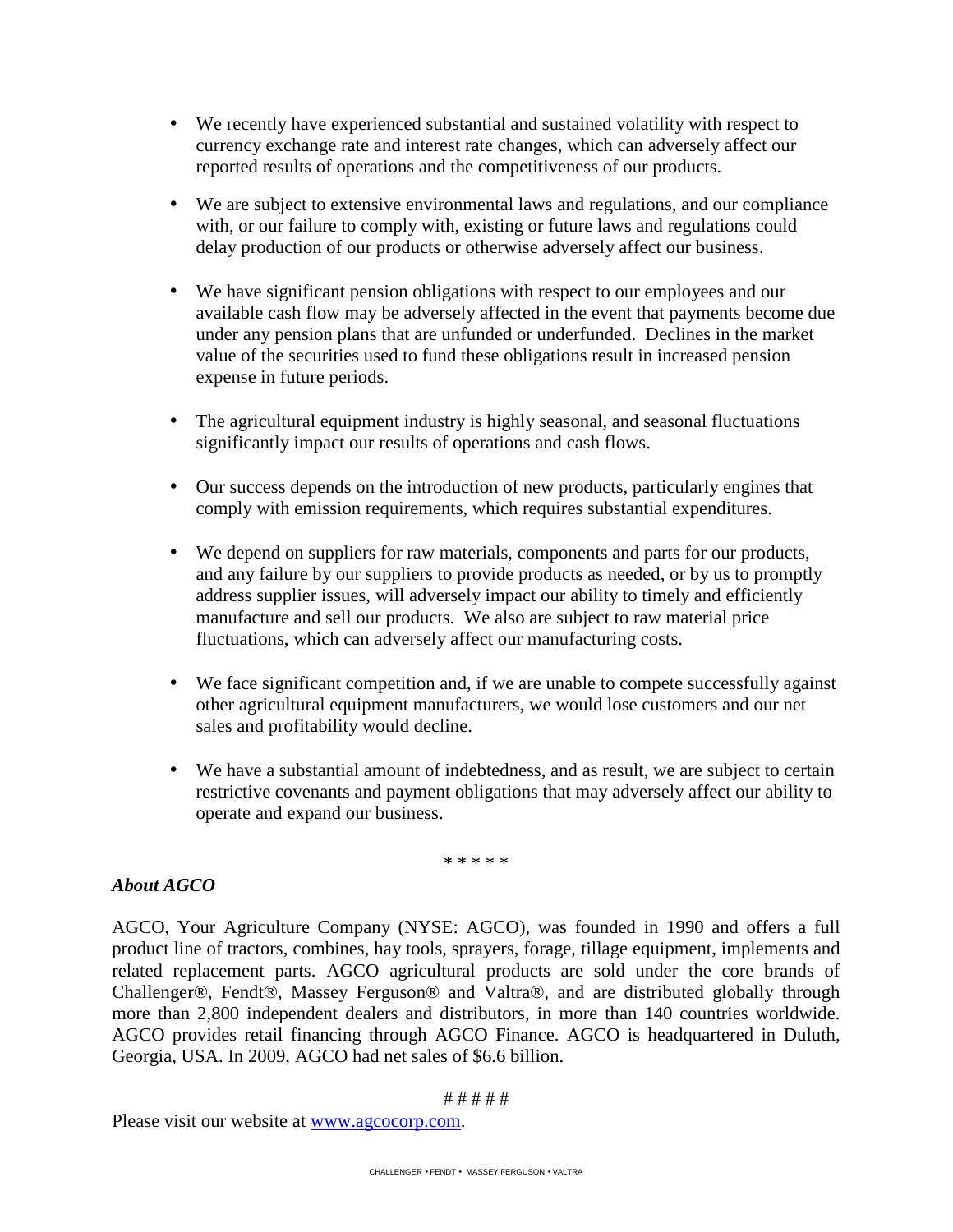- We recently have experienced substantial and sustained volatility with respect to currency exchange rate and interest rate changes, which can adversely affect our reported results of operations and the competitiveness of our products.
- We are subject to extensive environmental laws and regulations, and our compliance with, or our failure to comply with, existing or future laws and regulations could delay production of our products or otherwise adversely affect our business.
- We have significant pension obligations with respect to our employees and our available cash flow may be adversely affected in the event that payments become due under any pension plans that are unfunded or underfunded. Declines in the market value of the securities used to fund these obligations result in increased pension expense in future periods.
- The agricultural equipment industry is highly seasonal, and seasonal fluctuations significantly impact our results of operations and cash flows.
- Our success depends on the introduction of new products, particularly engines that comply with emission requirements, which requires substantial expenditures.
- We depend on suppliers for raw materials, components and parts for our products, and any failure by our suppliers to provide products as needed, or by us to promptly address supplier issues, will adversely impact our ability to timely and efficiently manufacture and sell our products. We also are subject to raw material price fluctuations, which can adversely affect our manufacturing costs.
- We face significant competition and, if we are unable to compete successfully against other agricultural equipment manufacturers, we would lose customers and our net sales and profitability would decline.
- We have a substantial amount of indebtedness, and as result, we are subject to certain restrictive covenants and payment obligations that may adversely affect our ability to operate and expand our business.

\* \* \* \* \*

# *About AGCO*

AGCO, Your Agriculture Company (NYSE: AGCO), was founded in 1990 and offers a full product line of tractors, combines, hay tools, sprayers, forage, tillage equipment, implements and related replacement parts. AGCO agricultural products are sold under the core brands of Challenger®, Fendt®, Massey Ferguson® and Valtra®, and are distributed globally through more than 2,800 independent dealers and distributors, in more than 140 countries worldwide. AGCO provides retail financing through AGCO Finance. AGCO is headquartered in Duluth, Georgia, USA. In 2009, AGCO had net sales of \$6.6 billion.

#### # # # # #

Please visit our website at www.agcocorp.com.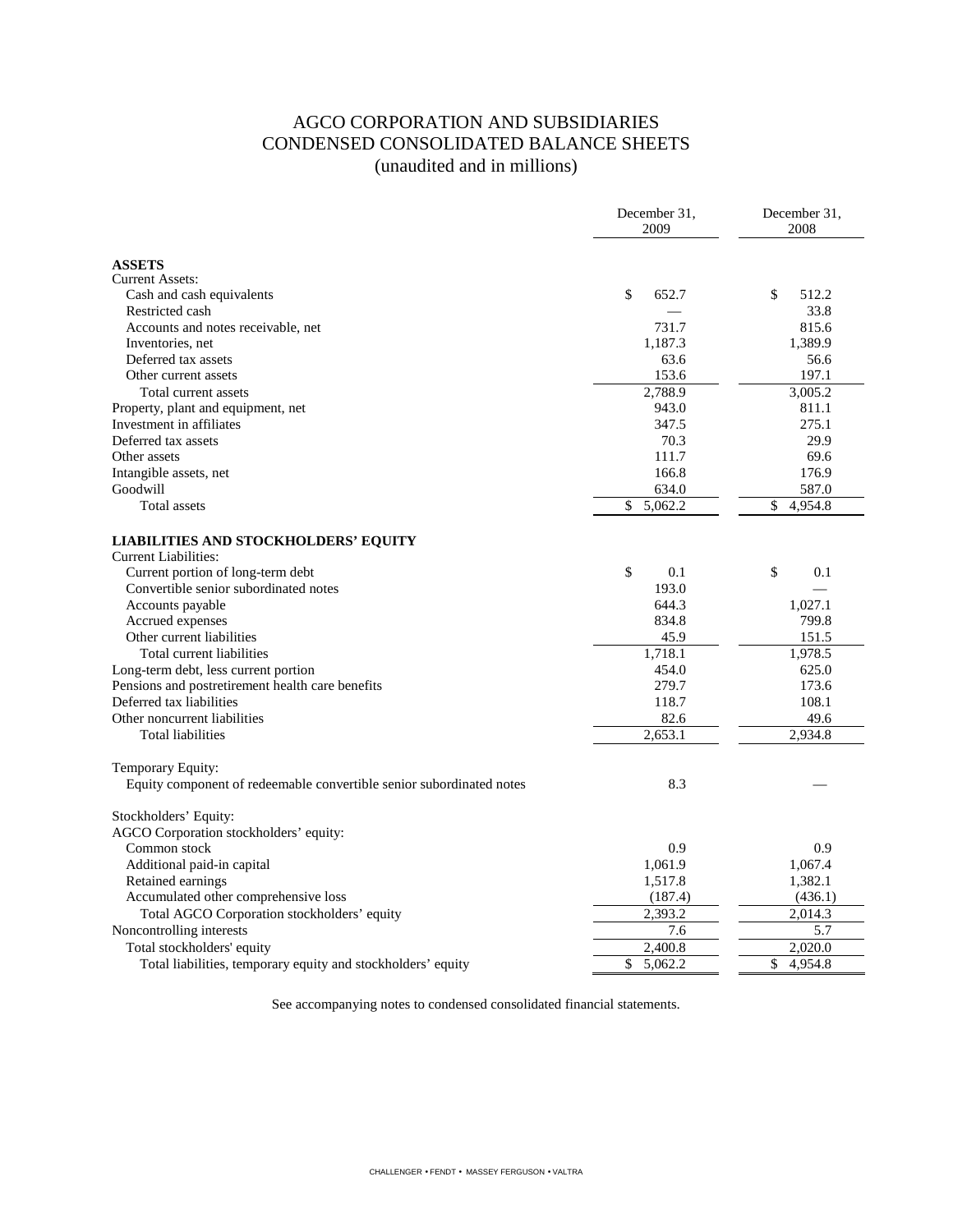# AGCO CORPORATION AND SUBSIDIARIES CONDENSED CONSOLIDATED BALANCE SHEETS (unaudited and in millions)

|                                                                      | December 31,<br>2009 | December 31,<br>2008 |
|----------------------------------------------------------------------|----------------------|----------------------|
|                                                                      |                      |                      |
| <b>ASSETS</b>                                                        |                      |                      |
| <b>Current Assets:</b>                                               |                      |                      |
| Cash and cash equivalents                                            | \$<br>652.7          | \$<br>512.2          |
| Restricted cash                                                      |                      | 33.8                 |
| Accounts and notes receivable, net                                   | 731.7                | 815.6                |
| Inventories, net                                                     | 1,187.3              | 1,389.9              |
| Deferred tax assets                                                  | 63.6                 | 56.6                 |
| Other current assets                                                 | 153.6                | 197.1                |
| Total current assets                                                 | 2,788.9              | 3,005.2              |
| Property, plant and equipment, net                                   | 943.0                | 811.1                |
| Investment in affiliates                                             | 347.5                | 275.1                |
| Deferred tax assets                                                  | 70.3                 | 29.9                 |
| Other assets                                                         | 111.7                | 69.6                 |
| Intangible assets, net<br>Goodwill                                   | 166.8<br>634.0       | 176.9                |
|                                                                      | \$                   | 587.0<br>\$          |
| Total assets                                                         | 5,062.2              | 4,954.8              |
| <b>LIABILITIES AND STOCKHOLDERS' EQUITY</b>                          |                      |                      |
| Current Liabilities:                                                 |                      |                      |
| Current portion of long-term debt                                    | \$<br>0.1            | \$<br>0.1            |
| Convertible senior subordinated notes                                | 193.0                |                      |
| Accounts payable                                                     | 644.3                | 1,027.1              |
| Accrued expenses                                                     | 834.8                | 799.8                |
| Other current liabilities                                            | 45.9                 | 151.5                |
| Total current liabilities                                            | 1,718.1              | 1,978.5              |
| Long-term debt, less current portion                                 | 454.0                | 625.0                |
| Pensions and postretirement health care benefits                     | 279.7                | 173.6                |
| Deferred tax liabilities                                             | 118.7                | 108.1                |
| Other noncurrent liabilities                                         | 82.6                 | 49.6                 |
| <b>Total liabilities</b>                                             | 2.653.1              | 2.934.8              |
|                                                                      |                      |                      |
| Temporary Equity:                                                    | 8.3                  |                      |
| Equity component of redeemable convertible senior subordinated notes |                      |                      |
| Stockholders' Equity:                                                |                      |                      |
| AGCO Corporation stockholders' equity:                               |                      |                      |
| Common stock                                                         | 0.9                  | 0.9                  |
| Additional paid-in capital                                           | 1,061.9              | 1,067.4              |
| Retained earnings                                                    | 1,517.8              | 1,382.1              |
| Accumulated other comprehensive loss                                 | (187.4)              | (436.1)              |
| Total AGCO Corporation stockholders' equity                          | 2,393.2              | 2,014.3              |
| Noncontrolling interests                                             | 7.6                  | 5.7                  |
| Total stockholders' equity                                           | 2,400.8              | 2,020.0              |
| Total liabilities, temporary equity and stockholders' equity         | \$<br>5,062.2        | \$<br>4,954.8        |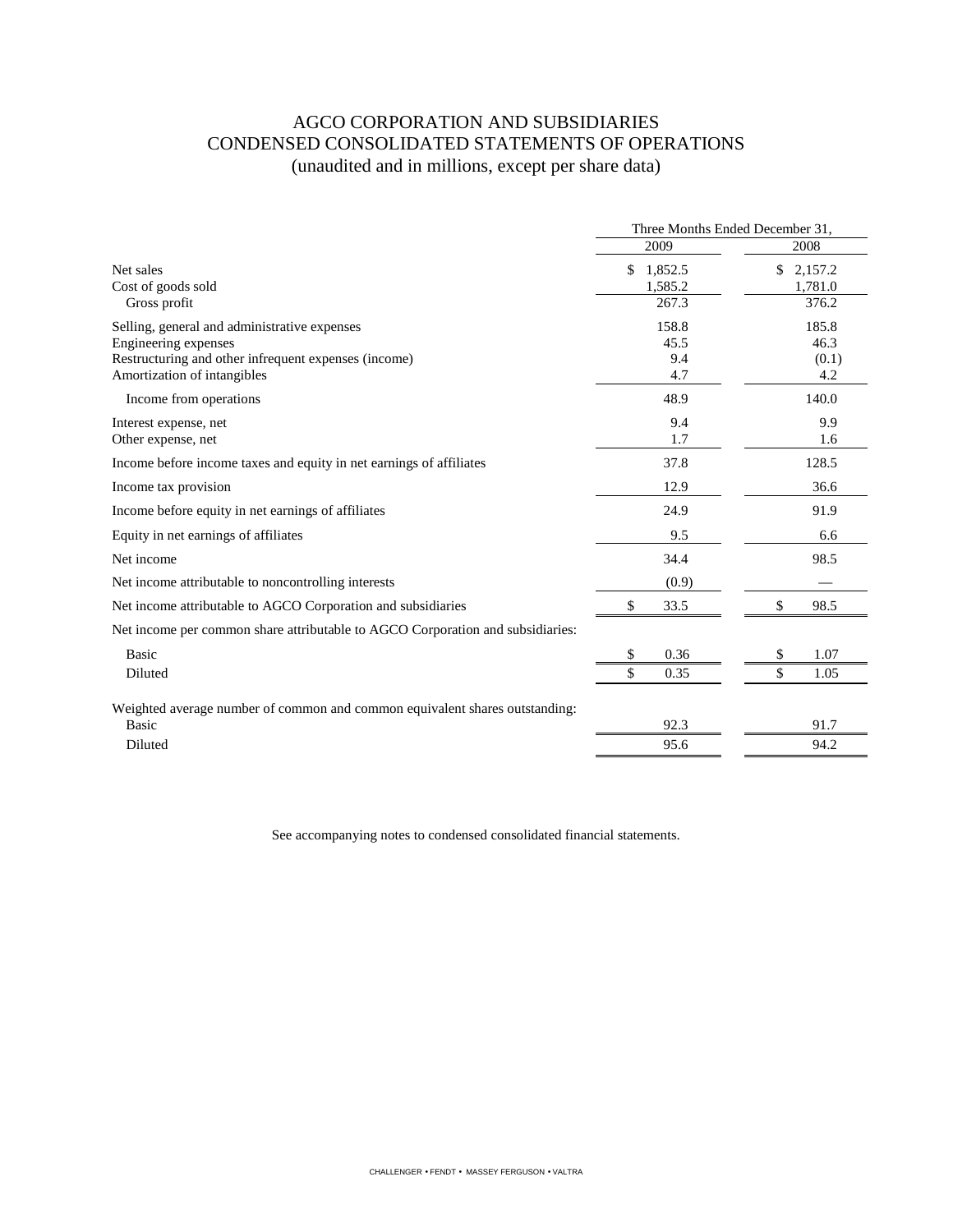# AGCO CORPORATION AND SUBSIDIARIES CONDENSED CONSOLIDATED STATEMENTS OF OPERATIONS (unaudited and in millions, except per share data)

|                                                                                | Three Months Ended December 31, |                          |  |
|--------------------------------------------------------------------------------|---------------------------------|--------------------------|--|
|                                                                                | 2009                            | 2008                     |  |
| Net sales<br>Cost of goods sold                                                | \$<br>1,852.5<br>1,585.2        | \$<br>2,157.2<br>1,781.0 |  |
| Gross profit                                                                   | 267.3                           | 376.2                    |  |
| Selling, general and administrative expenses                                   | 158.8                           | 185.8                    |  |
| Engineering expenses                                                           | 45.5                            | 46.3                     |  |
| Restructuring and other infrequent expenses (income)                           | 9.4                             | (0.1)                    |  |
| Amortization of intangibles                                                    | 4.7                             | 4.2                      |  |
| Income from operations                                                         | 48.9                            | 140.0                    |  |
| Interest expense, net                                                          | 9.4                             | 9.9                      |  |
| Other expense, net                                                             | 1.7                             | 1.6                      |  |
| Income before income taxes and equity in net earnings of affiliates            | 37.8                            | 128.5                    |  |
| Income tax provision                                                           | 12.9                            | 36.6                     |  |
| Income before equity in net earnings of affiliates                             | 24.9                            | 91.9                     |  |
| Equity in net earnings of affiliates                                           | 9.5                             | 6.6                      |  |
| Net income                                                                     | 34.4                            | 98.5                     |  |
| Net income attributable to noncontrolling interests                            | (0.9)                           |                          |  |
| Net income attributable to AGCO Corporation and subsidiaries                   | \$<br>33.5                      | \$<br>98.5               |  |
| Net income per common share attributable to AGCO Corporation and subsidiaries: |                                 |                          |  |
| <b>Basic</b>                                                                   | 0.36<br>\$                      | \$<br>1.07               |  |
| Diluted                                                                        | \$<br>0.35                      | \$<br>1.05               |  |
| Weighted average number of common and common equivalent shares outstanding:    |                                 |                          |  |
| Basic                                                                          | 92.3                            | 91.7                     |  |
| Diluted                                                                        | 95.6                            | 94.2                     |  |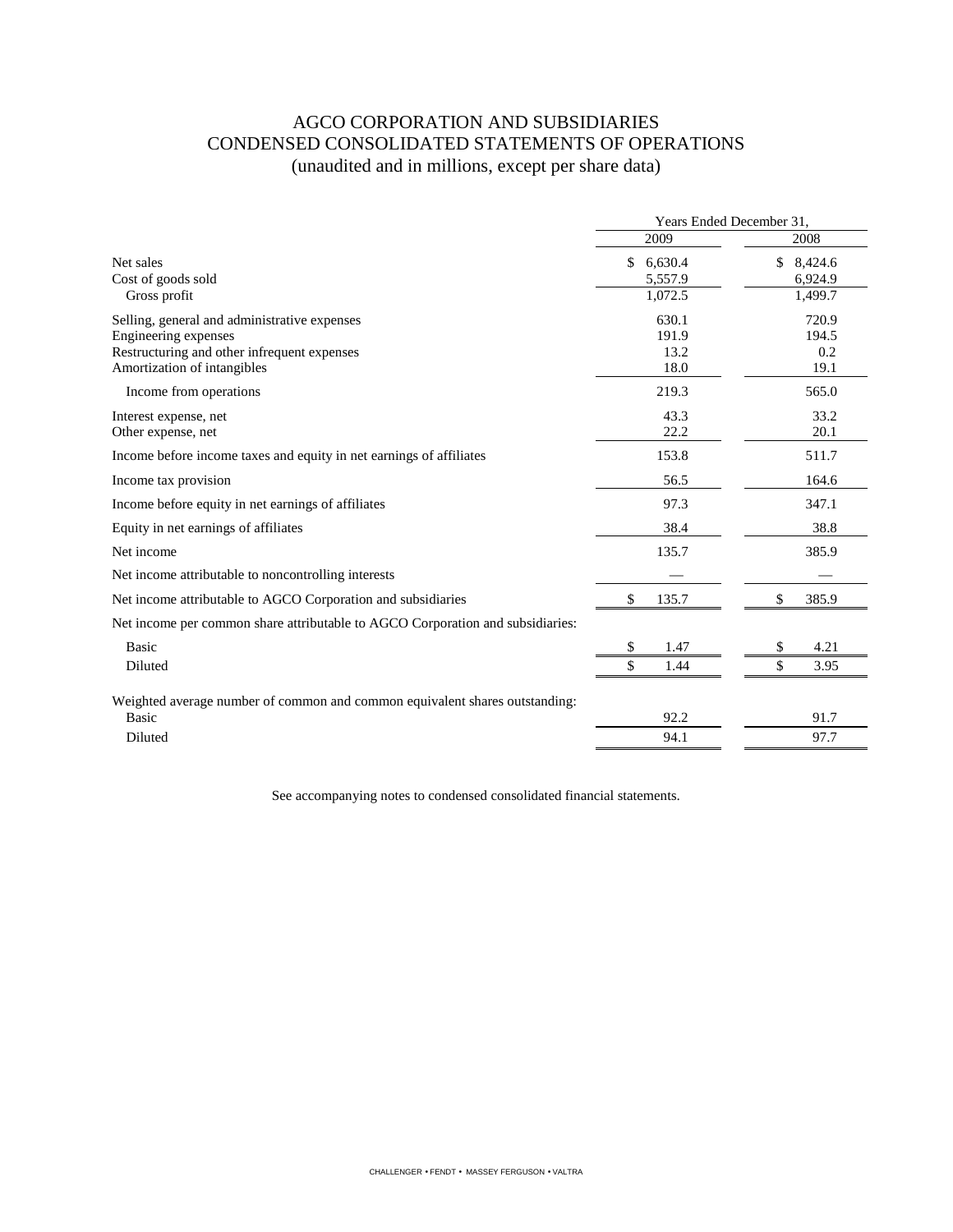# AGCO CORPORATION AND SUBSIDIARIES CONDENSED CONSOLIDATED STATEMENTS OF OPERATIONS (unaudited and in millions, except per share data)

|                                                                                                                                                    | Years Ended December 31,            |                                     |  |
|----------------------------------------------------------------------------------------------------------------------------------------------------|-------------------------------------|-------------------------------------|--|
|                                                                                                                                                    | 2009                                | 2008                                |  |
| Net sales<br>Cost of goods sold<br>Gross profit                                                                                                    | \$<br>6,630.4<br>5,557.9<br>1.072.5 | \$<br>8,424.6<br>6,924.9<br>1,499.7 |  |
| Selling, general and administrative expenses<br>Engineering expenses<br>Restructuring and other infrequent expenses<br>Amortization of intangibles | 630.1<br>191.9<br>13.2<br>18.0      | 720.9<br>194.5<br>0.2<br>19.1       |  |
| Income from operations                                                                                                                             | 219.3                               | 565.0                               |  |
| Interest expense, net<br>Other expense, net                                                                                                        | 43.3<br>22.2                        | 33.2<br>20.1                        |  |
| Income before income taxes and equity in net earnings of affiliates                                                                                | 153.8                               | 511.7                               |  |
| Income tax provision                                                                                                                               | 56.5                                | 164.6                               |  |
| Income before equity in net earnings of affiliates                                                                                                 | 97.3                                | 347.1                               |  |
| Equity in net earnings of affiliates                                                                                                               | 38.4                                | 38.8                                |  |
| Net income                                                                                                                                         | 135.7                               | 385.9                               |  |
| Net income attributable to noncontrolling interests                                                                                                |                                     |                                     |  |
| Net income attributable to AGCO Corporation and subsidiaries                                                                                       | \$<br>135.7                         | \$<br>385.9                         |  |
| Net income per common share attributable to AGCO Corporation and subsidiaries:                                                                     |                                     |                                     |  |
| <b>Basic</b>                                                                                                                                       | \$<br>1.47                          | \$<br>4.21                          |  |
| Diluted                                                                                                                                            | \$<br>1.44                          | \$<br>3.95                          |  |
| Weighted average number of common and common equivalent shares outstanding:<br><b>Basic</b>                                                        | 92.2                                | 91.7                                |  |
| Diluted                                                                                                                                            | 94.1                                | 97.7                                |  |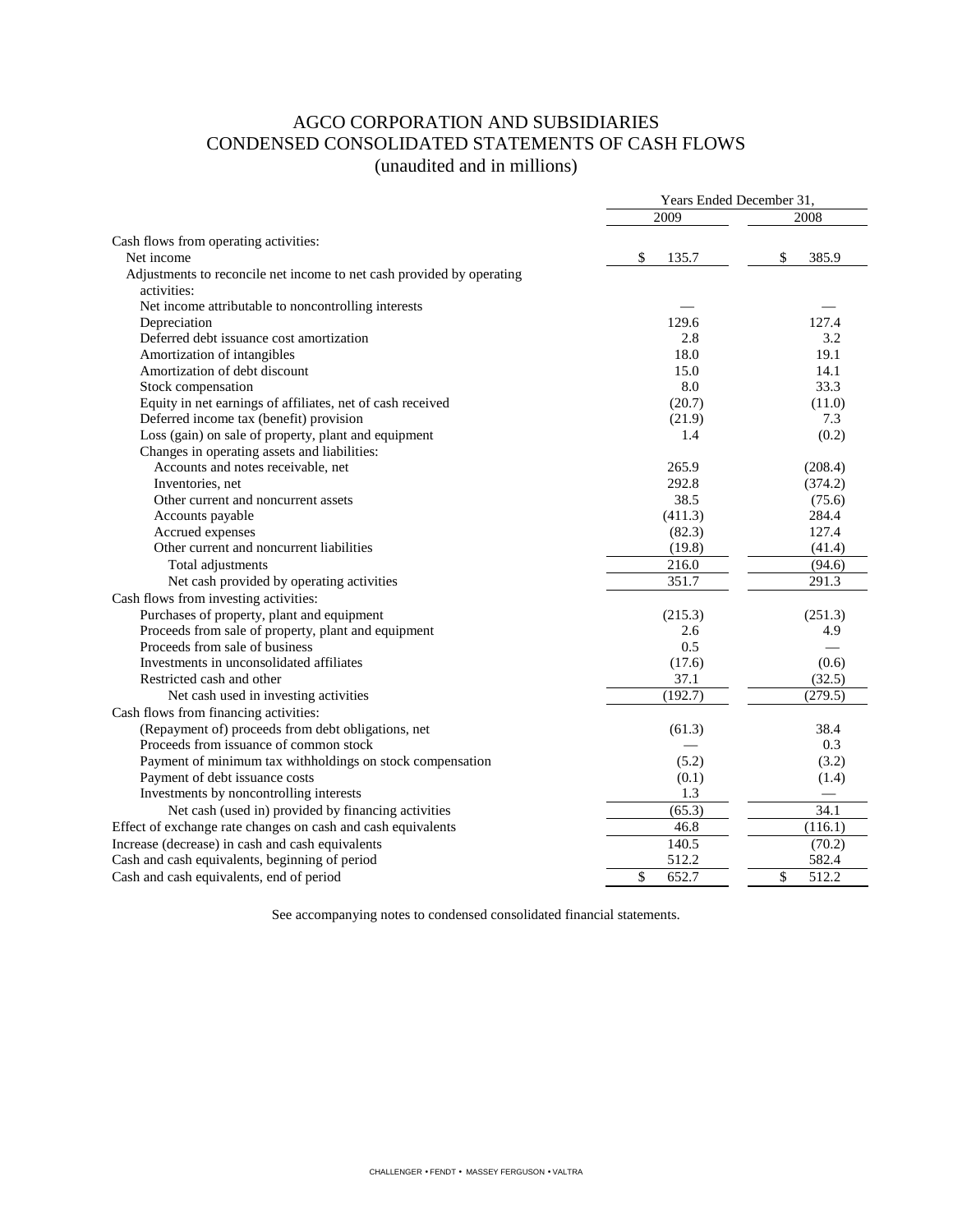# AGCO CORPORATION AND SUBSIDIARIES CONDENSED CONSOLIDATED STATEMENTS OF CASH FLOWS (unaudited and in millions)

| 2009<br>2008<br>Cash flows from operating activities:<br>\$<br>\$<br>Net income<br>385.9<br>135.7<br>Adjustments to reconcile net income to net cash provided by operating<br>activities:<br>Net income attributable to noncontrolling interests<br>129.6<br>127.4<br>Depreciation<br>Deferred debt issuance cost amortization<br>2.8<br>3.2<br>Amortization of intangibles<br>18.0<br>19.1<br>Amortization of debt discount<br>15.0<br>14.1<br>8.0<br>33.3<br>Stock compensation<br>Equity in net earnings of affiliates, net of cash received<br>(20.7)<br>(11.0)<br>Deferred income tax (benefit) provision<br>(21.9)<br>7.3<br>Loss (gain) on sale of property, plant and equipment<br>1.4<br>(0.2)<br>Changes in operating assets and liabilities:<br>Accounts and notes receivable, net<br>265.9<br>(208.4)<br>Inventories, net<br>292.8<br>(374.2)<br>38.5<br>Other current and noncurrent assets<br>(75.6)<br>(411.3)<br>284.4<br>Accounts payable<br>Accrued expenses<br>(82.3)<br>127.4<br>Other current and noncurrent liabilities<br>(19.8)<br>(41.4)<br>216.0<br>(94.6)<br>Total adjustments<br>351.7<br>291.3<br>Net cash provided by operating activities<br>Cash flows from investing activities:<br>Purchases of property, plant and equipment<br>(215.3)<br>(251.3)<br>Proceeds from sale of property, plant and equipment<br>4.9<br>2.6<br>Proceeds from sale of business<br>0.5<br>Investments in unconsolidated affiliates<br>(17.6)<br>(0.6)<br>Restricted cash and other<br>37.1<br>(32.5)<br>(192.7)<br>(279.5)<br>Net cash used in investing activities<br>(Repayment of) proceeds from debt obligations, net<br>38.4<br>(61.3)<br>Proceeds from issuance of common stock<br>0.3<br>Payment of minimum tax withholdings on stock compensation<br>(5.2)<br>(3.2)<br>Payment of debt issuance costs<br>(0.1)<br>(1.4)<br>1.3<br>Investments by noncontrolling interests<br>34.1<br>Net cash (used in) provided by financing activities<br>(65.3)<br>Effect of exchange rate changes on cash and cash equivalents<br>46.8<br>(116.1)<br>140.5<br>Increase (decrease) in cash and cash equivalents<br>(70.2)<br>Cash and cash equivalents, beginning of period<br>512.2<br>582.4 |                                          | Years Ended December 31, |             |  |
|-------------------------------------------------------------------------------------------------------------------------------------------------------------------------------------------------------------------------------------------------------------------------------------------------------------------------------------------------------------------------------------------------------------------------------------------------------------------------------------------------------------------------------------------------------------------------------------------------------------------------------------------------------------------------------------------------------------------------------------------------------------------------------------------------------------------------------------------------------------------------------------------------------------------------------------------------------------------------------------------------------------------------------------------------------------------------------------------------------------------------------------------------------------------------------------------------------------------------------------------------------------------------------------------------------------------------------------------------------------------------------------------------------------------------------------------------------------------------------------------------------------------------------------------------------------------------------------------------------------------------------------------------------------------------------------------------------------------------------------------------------------------------------------------------------------------------------------------------------------------------------------------------------------------------------------------------------------------------------------------------------------------------------------------------------------------------------------------------------------------------------------------------------------------------------------------------------|------------------------------------------|--------------------------|-------------|--|
|                                                                                                                                                                                                                                                                                                                                                                                                                                                                                                                                                                                                                                                                                                                                                                                                                                                                                                                                                                                                                                                                                                                                                                                                                                                                                                                                                                                                                                                                                                                                                                                                                                                                                                                                                                                                                                                                                                                                                                                                                                                                                                                                                                                                       |                                          |                          |             |  |
|                                                                                                                                                                                                                                                                                                                                                                                                                                                                                                                                                                                                                                                                                                                                                                                                                                                                                                                                                                                                                                                                                                                                                                                                                                                                                                                                                                                                                                                                                                                                                                                                                                                                                                                                                                                                                                                                                                                                                                                                                                                                                                                                                                                                       |                                          |                          |             |  |
|                                                                                                                                                                                                                                                                                                                                                                                                                                                                                                                                                                                                                                                                                                                                                                                                                                                                                                                                                                                                                                                                                                                                                                                                                                                                                                                                                                                                                                                                                                                                                                                                                                                                                                                                                                                                                                                                                                                                                                                                                                                                                                                                                                                                       |                                          |                          |             |  |
|                                                                                                                                                                                                                                                                                                                                                                                                                                                                                                                                                                                                                                                                                                                                                                                                                                                                                                                                                                                                                                                                                                                                                                                                                                                                                                                                                                                                                                                                                                                                                                                                                                                                                                                                                                                                                                                                                                                                                                                                                                                                                                                                                                                                       |                                          |                          |             |  |
|                                                                                                                                                                                                                                                                                                                                                                                                                                                                                                                                                                                                                                                                                                                                                                                                                                                                                                                                                                                                                                                                                                                                                                                                                                                                                                                                                                                                                                                                                                                                                                                                                                                                                                                                                                                                                                                                                                                                                                                                                                                                                                                                                                                                       |                                          |                          |             |  |
|                                                                                                                                                                                                                                                                                                                                                                                                                                                                                                                                                                                                                                                                                                                                                                                                                                                                                                                                                                                                                                                                                                                                                                                                                                                                                                                                                                                                                                                                                                                                                                                                                                                                                                                                                                                                                                                                                                                                                                                                                                                                                                                                                                                                       |                                          |                          |             |  |
|                                                                                                                                                                                                                                                                                                                                                                                                                                                                                                                                                                                                                                                                                                                                                                                                                                                                                                                                                                                                                                                                                                                                                                                                                                                                                                                                                                                                                                                                                                                                                                                                                                                                                                                                                                                                                                                                                                                                                                                                                                                                                                                                                                                                       |                                          |                          |             |  |
|                                                                                                                                                                                                                                                                                                                                                                                                                                                                                                                                                                                                                                                                                                                                                                                                                                                                                                                                                                                                                                                                                                                                                                                                                                                                                                                                                                                                                                                                                                                                                                                                                                                                                                                                                                                                                                                                                                                                                                                                                                                                                                                                                                                                       |                                          |                          |             |  |
|                                                                                                                                                                                                                                                                                                                                                                                                                                                                                                                                                                                                                                                                                                                                                                                                                                                                                                                                                                                                                                                                                                                                                                                                                                                                                                                                                                                                                                                                                                                                                                                                                                                                                                                                                                                                                                                                                                                                                                                                                                                                                                                                                                                                       |                                          |                          |             |  |
|                                                                                                                                                                                                                                                                                                                                                                                                                                                                                                                                                                                                                                                                                                                                                                                                                                                                                                                                                                                                                                                                                                                                                                                                                                                                                                                                                                                                                                                                                                                                                                                                                                                                                                                                                                                                                                                                                                                                                                                                                                                                                                                                                                                                       |                                          |                          |             |  |
|                                                                                                                                                                                                                                                                                                                                                                                                                                                                                                                                                                                                                                                                                                                                                                                                                                                                                                                                                                                                                                                                                                                                                                                                                                                                                                                                                                                                                                                                                                                                                                                                                                                                                                                                                                                                                                                                                                                                                                                                                                                                                                                                                                                                       |                                          |                          |             |  |
|                                                                                                                                                                                                                                                                                                                                                                                                                                                                                                                                                                                                                                                                                                                                                                                                                                                                                                                                                                                                                                                                                                                                                                                                                                                                                                                                                                                                                                                                                                                                                                                                                                                                                                                                                                                                                                                                                                                                                                                                                                                                                                                                                                                                       |                                          |                          |             |  |
|                                                                                                                                                                                                                                                                                                                                                                                                                                                                                                                                                                                                                                                                                                                                                                                                                                                                                                                                                                                                                                                                                                                                                                                                                                                                                                                                                                                                                                                                                                                                                                                                                                                                                                                                                                                                                                                                                                                                                                                                                                                                                                                                                                                                       |                                          |                          |             |  |
|                                                                                                                                                                                                                                                                                                                                                                                                                                                                                                                                                                                                                                                                                                                                                                                                                                                                                                                                                                                                                                                                                                                                                                                                                                                                                                                                                                                                                                                                                                                                                                                                                                                                                                                                                                                                                                                                                                                                                                                                                                                                                                                                                                                                       |                                          |                          |             |  |
|                                                                                                                                                                                                                                                                                                                                                                                                                                                                                                                                                                                                                                                                                                                                                                                                                                                                                                                                                                                                                                                                                                                                                                                                                                                                                                                                                                                                                                                                                                                                                                                                                                                                                                                                                                                                                                                                                                                                                                                                                                                                                                                                                                                                       |                                          |                          |             |  |
|                                                                                                                                                                                                                                                                                                                                                                                                                                                                                                                                                                                                                                                                                                                                                                                                                                                                                                                                                                                                                                                                                                                                                                                                                                                                                                                                                                                                                                                                                                                                                                                                                                                                                                                                                                                                                                                                                                                                                                                                                                                                                                                                                                                                       |                                          |                          |             |  |
|                                                                                                                                                                                                                                                                                                                                                                                                                                                                                                                                                                                                                                                                                                                                                                                                                                                                                                                                                                                                                                                                                                                                                                                                                                                                                                                                                                                                                                                                                                                                                                                                                                                                                                                                                                                                                                                                                                                                                                                                                                                                                                                                                                                                       |                                          |                          |             |  |
|                                                                                                                                                                                                                                                                                                                                                                                                                                                                                                                                                                                                                                                                                                                                                                                                                                                                                                                                                                                                                                                                                                                                                                                                                                                                                                                                                                                                                                                                                                                                                                                                                                                                                                                                                                                                                                                                                                                                                                                                                                                                                                                                                                                                       |                                          |                          |             |  |
|                                                                                                                                                                                                                                                                                                                                                                                                                                                                                                                                                                                                                                                                                                                                                                                                                                                                                                                                                                                                                                                                                                                                                                                                                                                                                                                                                                                                                                                                                                                                                                                                                                                                                                                                                                                                                                                                                                                                                                                                                                                                                                                                                                                                       |                                          |                          |             |  |
|                                                                                                                                                                                                                                                                                                                                                                                                                                                                                                                                                                                                                                                                                                                                                                                                                                                                                                                                                                                                                                                                                                                                                                                                                                                                                                                                                                                                                                                                                                                                                                                                                                                                                                                                                                                                                                                                                                                                                                                                                                                                                                                                                                                                       |                                          |                          |             |  |
|                                                                                                                                                                                                                                                                                                                                                                                                                                                                                                                                                                                                                                                                                                                                                                                                                                                                                                                                                                                                                                                                                                                                                                                                                                                                                                                                                                                                                                                                                                                                                                                                                                                                                                                                                                                                                                                                                                                                                                                                                                                                                                                                                                                                       |                                          |                          |             |  |
|                                                                                                                                                                                                                                                                                                                                                                                                                                                                                                                                                                                                                                                                                                                                                                                                                                                                                                                                                                                                                                                                                                                                                                                                                                                                                                                                                                                                                                                                                                                                                                                                                                                                                                                                                                                                                                                                                                                                                                                                                                                                                                                                                                                                       |                                          |                          |             |  |
|                                                                                                                                                                                                                                                                                                                                                                                                                                                                                                                                                                                                                                                                                                                                                                                                                                                                                                                                                                                                                                                                                                                                                                                                                                                                                                                                                                                                                                                                                                                                                                                                                                                                                                                                                                                                                                                                                                                                                                                                                                                                                                                                                                                                       |                                          |                          |             |  |
|                                                                                                                                                                                                                                                                                                                                                                                                                                                                                                                                                                                                                                                                                                                                                                                                                                                                                                                                                                                                                                                                                                                                                                                                                                                                                                                                                                                                                                                                                                                                                                                                                                                                                                                                                                                                                                                                                                                                                                                                                                                                                                                                                                                                       |                                          |                          |             |  |
|                                                                                                                                                                                                                                                                                                                                                                                                                                                                                                                                                                                                                                                                                                                                                                                                                                                                                                                                                                                                                                                                                                                                                                                                                                                                                                                                                                                                                                                                                                                                                                                                                                                                                                                                                                                                                                                                                                                                                                                                                                                                                                                                                                                                       |                                          |                          |             |  |
|                                                                                                                                                                                                                                                                                                                                                                                                                                                                                                                                                                                                                                                                                                                                                                                                                                                                                                                                                                                                                                                                                                                                                                                                                                                                                                                                                                                                                                                                                                                                                                                                                                                                                                                                                                                                                                                                                                                                                                                                                                                                                                                                                                                                       |                                          |                          |             |  |
|                                                                                                                                                                                                                                                                                                                                                                                                                                                                                                                                                                                                                                                                                                                                                                                                                                                                                                                                                                                                                                                                                                                                                                                                                                                                                                                                                                                                                                                                                                                                                                                                                                                                                                                                                                                                                                                                                                                                                                                                                                                                                                                                                                                                       |                                          |                          |             |  |
|                                                                                                                                                                                                                                                                                                                                                                                                                                                                                                                                                                                                                                                                                                                                                                                                                                                                                                                                                                                                                                                                                                                                                                                                                                                                                                                                                                                                                                                                                                                                                                                                                                                                                                                                                                                                                                                                                                                                                                                                                                                                                                                                                                                                       |                                          |                          |             |  |
|                                                                                                                                                                                                                                                                                                                                                                                                                                                                                                                                                                                                                                                                                                                                                                                                                                                                                                                                                                                                                                                                                                                                                                                                                                                                                                                                                                                                                                                                                                                                                                                                                                                                                                                                                                                                                                                                                                                                                                                                                                                                                                                                                                                                       |                                          |                          |             |  |
|                                                                                                                                                                                                                                                                                                                                                                                                                                                                                                                                                                                                                                                                                                                                                                                                                                                                                                                                                                                                                                                                                                                                                                                                                                                                                                                                                                                                                                                                                                                                                                                                                                                                                                                                                                                                                                                                                                                                                                                                                                                                                                                                                                                                       |                                          |                          |             |  |
|                                                                                                                                                                                                                                                                                                                                                                                                                                                                                                                                                                                                                                                                                                                                                                                                                                                                                                                                                                                                                                                                                                                                                                                                                                                                                                                                                                                                                                                                                                                                                                                                                                                                                                                                                                                                                                                                                                                                                                                                                                                                                                                                                                                                       | Cash flows from financing activities:    |                          |             |  |
|                                                                                                                                                                                                                                                                                                                                                                                                                                                                                                                                                                                                                                                                                                                                                                                                                                                                                                                                                                                                                                                                                                                                                                                                                                                                                                                                                                                                                                                                                                                                                                                                                                                                                                                                                                                                                                                                                                                                                                                                                                                                                                                                                                                                       |                                          |                          |             |  |
|                                                                                                                                                                                                                                                                                                                                                                                                                                                                                                                                                                                                                                                                                                                                                                                                                                                                                                                                                                                                                                                                                                                                                                                                                                                                                                                                                                                                                                                                                                                                                                                                                                                                                                                                                                                                                                                                                                                                                                                                                                                                                                                                                                                                       |                                          |                          |             |  |
|                                                                                                                                                                                                                                                                                                                                                                                                                                                                                                                                                                                                                                                                                                                                                                                                                                                                                                                                                                                                                                                                                                                                                                                                                                                                                                                                                                                                                                                                                                                                                                                                                                                                                                                                                                                                                                                                                                                                                                                                                                                                                                                                                                                                       |                                          |                          |             |  |
|                                                                                                                                                                                                                                                                                                                                                                                                                                                                                                                                                                                                                                                                                                                                                                                                                                                                                                                                                                                                                                                                                                                                                                                                                                                                                                                                                                                                                                                                                                                                                                                                                                                                                                                                                                                                                                                                                                                                                                                                                                                                                                                                                                                                       |                                          |                          |             |  |
|                                                                                                                                                                                                                                                                                                                                                                                                                                                                                                                                                                                                                                                                                                                                                                                                                                                                                                                                                                                                                                                                                                                                                                                                                                                                                                                                                                                                                                                                                                                                                                                                                                                                                                                                                                                                                                                                                                                                                                                                                                                                                                                                                                                                       |                                          |                          |             |  |
|                                                                                                                                                                                                                                                                                                                                                                                                                                                                                                                                                                                                                                                                                                                                                                                                                                                                                                                                                                                                                                                                                                                                                                                                                                                                                                                                                                                                                                                                                                                                                                                                                                                                                                                                                                                                                                                                                                                                                                                                                                                                                                                                                                                                       |                                          |                          |             |  |
|                                                                                                                                                                                                                                                                                                                                                                                                                                                                                                                                                                                                                                                                                                                                                                                                                                                                                                                                                                                                                                                                                                                                                                                                                                                                                                                                                                                                                                                                                                                                                                                                                                                                                                                                                                                                                                                                                                                                                                                                                                                                                                                                                                                                       |                                          |                          |             |  |
|                                                                                                                                                                                                                                                                                                                                                                                                                                                                                                                                                                                                                                                                                                                                                                                                                                                                                                                                                                                                                                                                                                                                                                                                                                                                                                                                                                                                                                                                                                                                                                                                                                                                                                                                                                                                                                                                                                                                                                                                                                                                                                                                                                                                       |                                          |                          |             |  |
|                                                                                                                                                                                                                                                                                                                                                                                                                                                                                                                                                                                                                                                                                                                                                                                                                                                                                                                                                                                                                                                                                                                                                                                                                                                                                                                                                                                                                                                                                                                                                                                                                                                                                                                                                                                                                                                                                                                                                                                                                                                                                                                                                                                                       |                                          |                          |             |  |
|                                                                                                                                                                                                                                                                                                                                                                                                                                                                                                                                                                                                                                                                                                                                                                                                                                                                                                                                                                                                                                                                                                                                                                                                                                                                                                                                                                                                                                                                                                                                                                                                                                                                                                                                                                                                                                                                                                                                                                                                                                                                                                                                                                                                       | Cash and cash equivalents, end of period | \$<br>652.7              | \$<br>512.2 |  |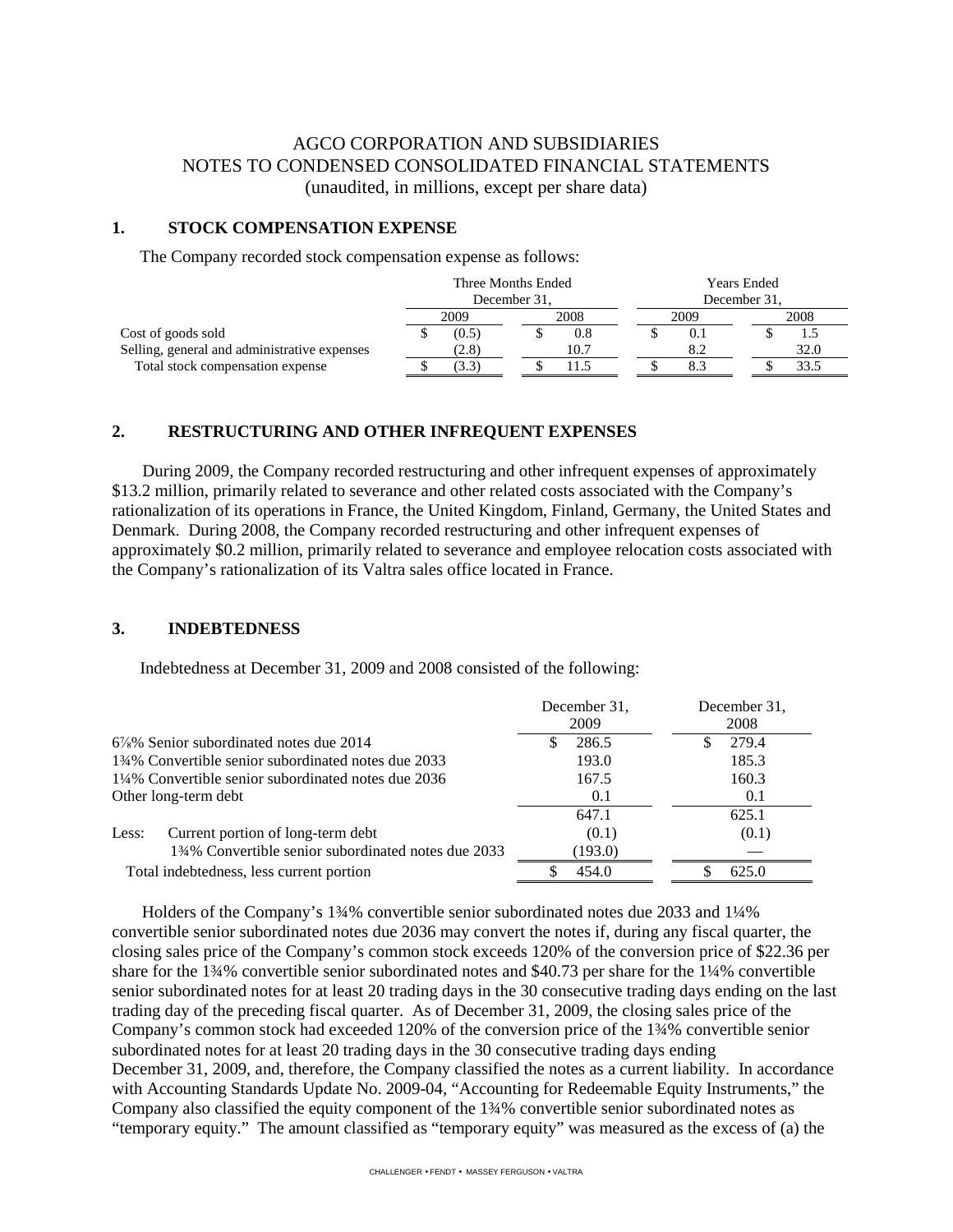# AGCO CORPORATION AND SUBSIDIARIES NOTES TO CONDENSED CONSOLIDATED FINANCIAL STATEMENTS (unaudited, in millions, except per share data)

#### **1. STOCK COMPENSATION EXPENSE**

The Company recorded stock compensation expense as follows:

|                                              | Three Months Ended |       |              | Years Ended |  |              |  |      |
|----------------------------------------------|--------------------|-------|--------------|-------------|--|--------------|--|------|
|                                              |                    |       | December 31. |             |  | December 31, |  |      |
|                                              | 2009               |       | 2008<br>2009 |             |  | 2008         |  |      |
| Cost of goods sold                           |                    | (0.5) |              | 0.8         |  |              |  |      |
| Selling, general and administrative expenses |                    | (2.8) |              | 10.7        |  |              |  | 32.0 |
| Total stock compensation expense             |                    | 3.3)  |              |             |  |              |  | 33.5 |

#### **2. RESTRUCTURING AND OTHER INFREQUENT EXPENSES**

 During 2009, the Company recorded restructuring and other infrequent expenses of approximately \$13.2 million, primarily related to severance and other related costs associated with the Company's rationalization of its operations in France, the United Kingdom, Finland, Germany, the United States and Denmark. During 2008, the Company recorded restructuring and other infrequent expenses of approximately \$0.2 million, primarily related to severance and employee relocation costs associated with the Company's rationalization of its Valtra sales office located in France.

#### **3. INDEBTEDNESS**

Indebtedness at December 31, 2009 and 2008 consisted of the following:

|                                                     | December 31.<br>2009 | December 31,<br>2008 |
|-----------------------------------------------------|----------------------|----------------------|
| $6\frac{7}{8}\%$ Senior subordinated notes due 2014 | 286.5                | 279.4                |
| 134% Convertible senior subordinated notes due 2033 | 193.0                | 185.3                |
| 1¼% Convertible senior subordinated notes due 2036  | 167.5                | 160.3                |
| Other long-term debt                                | 0.1                  | 0.1                  |
|                                                     | 647.1                | 625.1                |
| Current portion of long-term debt<br>Less:          | (0.1)                | (0.1)                |
| 134% Convertible senior subordinated notes due 2033 | (193.0)              |                      |
| Total indebtedness, less current portion            | 454.0                | 625.0                |

 Holders of the Company's 1¾% convertible senior subordinated notes due 2033 and 1¼% convertible senior subordinated notes due 2036 may convert the notes if, during any fiscal quarter, the closing sales price of the Company's common stock exceeds 120% of the conversion price of \$22.36 per share for the 1¾% convertible senior subordinated notes and \$40.73 per share for the 1¼% convertible senior subordinated notes for at least 20 trading days in the 30 consecutive trading days ending on the last trading day of the preceding fiscal quarter. As of December 31, 2009, the closing sales price of the Company's common stock had exceeded 120% of the conversion price of the 1¾% convertible senior subordinated notes for at least 20 trading days in the 30 consecutive trading days ending December 31, 2009, and, therefore, the Company classified the notes as a current liability. In accordance with Accounting Standards Update No. 2009-04, "Accounting for Redeemable Equity Instruments," the Company also classified the equity component of the 1¾% convertible senior subordinated notes as "temporary equity." The amount classified as "temporary equity" was measured as the excess of (a) the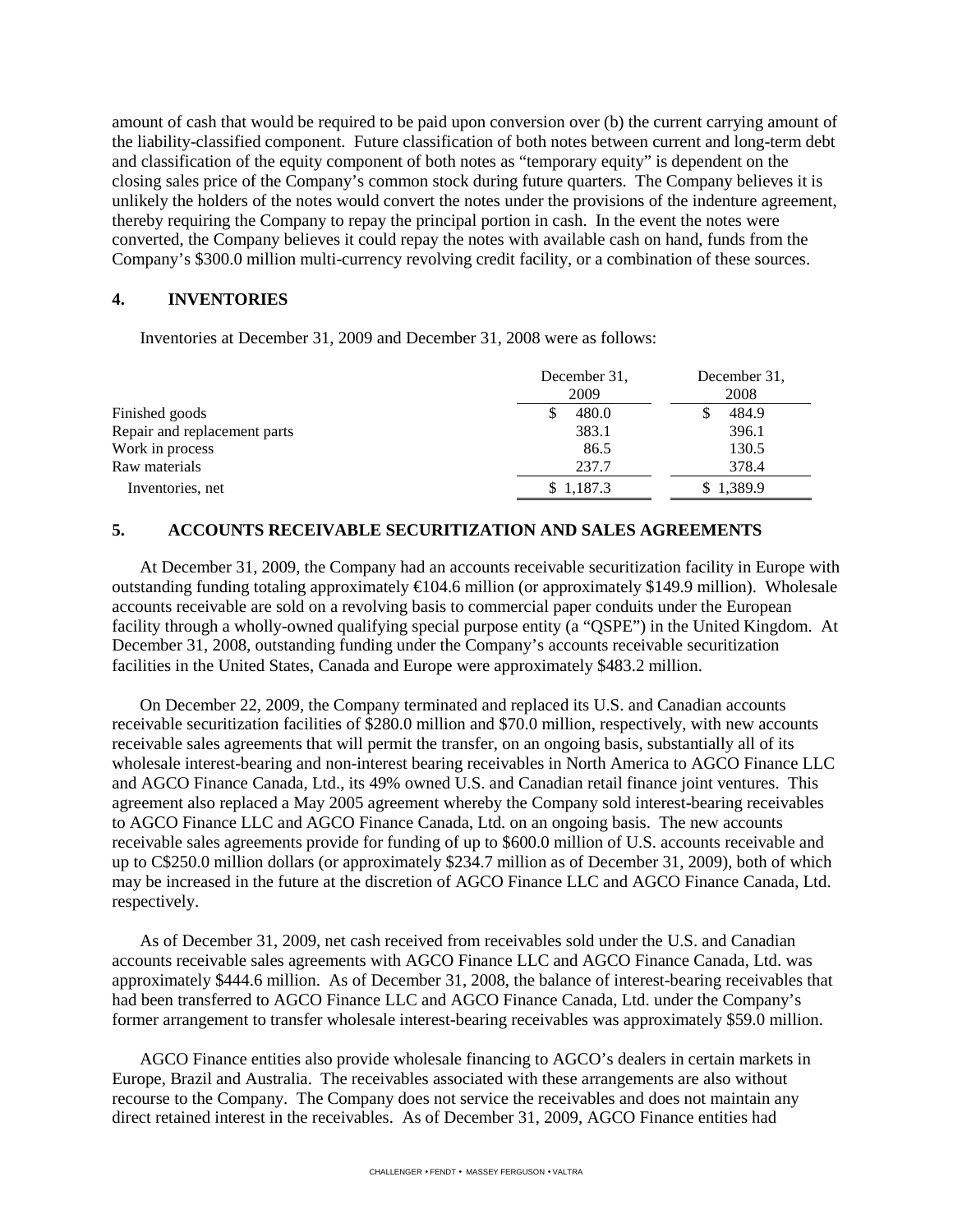amount of cash that would be required to be paid upon conversion over (b) the current carrying amount of the liability-classified component. Future classification of both notes between current and long-term debt and classification of the equity component of both notes as "temporary equity" is dependent on the closing sales price of the Company's common stock during future quarters. The Company believes it is unlikely the holders of the notes would convert the notes under the provisions of the indenture agreement, thereby requiring the Company to repay the principal portion in cash. In the event the notes were converted, the Company believes it could repay the notes with available cash on hand, funds from the Company's \$300.0 million multi-currency revolving credit facility, or a combination of these sources.

#### **4. INVENTORIES**

Inventories at December 31, 2009 and December 31, 2008 were as follows:

|                              | December 31,<br>2009 | December 31,<br>2008 |  |
|------------------------------|----------------------|----------------------|--|
| Finished goods               | 480.0                | 484.9                |  |
| Repair and replacement parts | 383.1                | 396.1                |  |
| Work in process              | 86.5                 | 130.5                |  |
| Raw materials                | 237.7                | 378.4                |  |
| Inventories, net             | \$1,187.3            | 1,389.9              |  |

## **5. ACCOUNTS RECEIVABLE SECURITIZATION AND SALES AGREEMENTS**

At December 31, 2009, the Company had an accounts receivable securitization facility in Europe with outstanding funding totaling approximately  $\epsilon$ 104.6 million (or approximately \$149.9 million). Wholesale accounts receivable are sold on a revolving basis to commercial paper conduits under the European facility through a wholly-owned qualifying special purpose entity (a "QSPE") in the United Kingdom. At December 31, 2008, outstanding funding under the Company's accounts receivable securitization facilities in the United States, Canada and Europe were approximately \$483.2 million.

On December 22, 2009, the Company terminated and replaced its U.S. and Canadian accounts receivable securitization facilities of \$280.0 million and \$70.0 million, respectively, with new accounts receivable sales agreements that will permit the transfer, on an ongoing basis, substantially all of its wholesale interest-bearing and non-interest bearing receivables in North America to AGCO Finance LLC and AGCO Finance Canada, Ltd., its 49% owned U.S. and Canadian retail finance joint ventures. This agreement also replaced a May 2005 agreement whereby the Company sold interest-bearing receivables to AGCO Finance LLC and AGCO Finance Canada, Ltd. on an ongoing basis. The new accounts receivable sales agreements provide for funding of up to \$600.0 million of U.S. accounts receivable and up to C\$250.0 million dollars (or approximately \$234.7 million as of December 31, 2009), both of which may be increased in the future at the discretion of AGCO Finance LLC and AGCO Finance Canada, Ltd. respectively.

As of December 31, 2009, net cash received from receivables sold under the U.S. and Canadian accounts receivable sales agreements with AGCO Finance LLC and AGCO Finance Canada, Ltd. was approximately \$444.6 million. As of December 31, 2008, the balance of interest-bearing receivables that had been transferred to AGCO Finance LLC and AGCO Finance Canada, Ltd. under the Company's former arrangement to transfer wholesale interest-bearing receivables was approximately \$59.0 million.

AGCO Finance entities also provide wholesale financing to AGCO's dealers in certain markets in Europe, Brazil and Australia. The receivables associated with these arrangements are also without recourse to the Company. The Company does not service the receivables and does not maintain any direct retained interest in the receivables. As of December 31, 2009, AGCO Finance entities had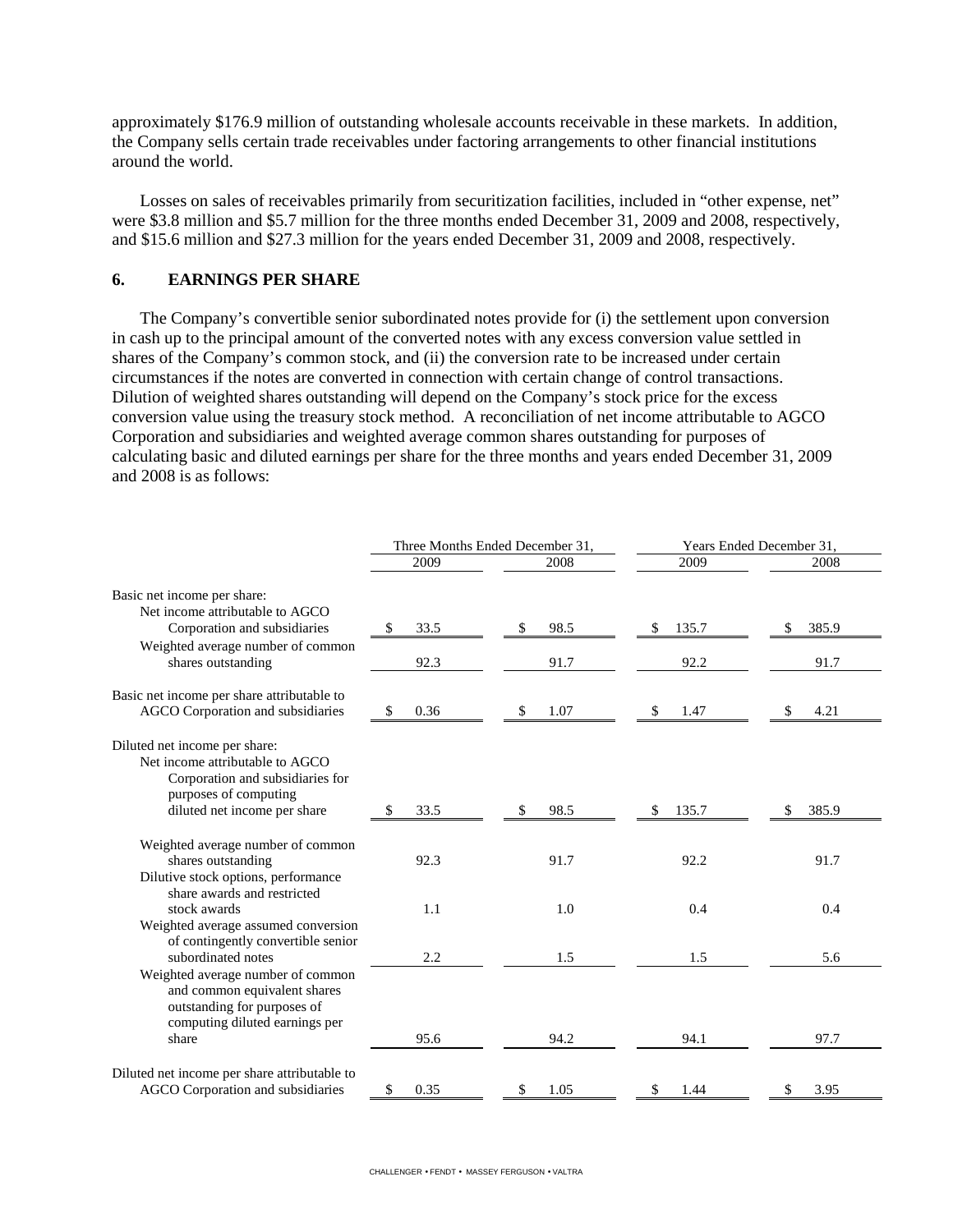approximately \$176.9 million of outstanding wholesale accounts receivable in these markets. In addition, the Company sells certain trade receivables under factoring arrangements to other financial institutions around the world.

Losses on sales of receivables primarily from securitization facilities, included in "other expense, net" were \$3.8 million and \$5.7 million for the three months ended December 31, 2009 and 2008, respectively, and \$15.6 million and \$27.3 million for the years ended December 31, 2009 and 2008, respectively.

#### **6. EARNINGS PER SHARE**

The Company's convertible senior subordinated notes provide for (i) the settlement upon conversion in cash up to the principal amount of the converted notes with any excess conversion value settled in shares of the Company's common stock, and (ii) the conversion rate to be increased under certain circumstances if the notes are converted in connection with certain change of control transactions. Dilution of weighted shares outstanding will depend on the Company's stock price for the excess conversion value using the treasury stock method. A reconciliation of net income attributable to AGCO Corporation and subsidiaries and weighted average common shares outstanding for purposes of calculating basic and diluted earnings per share for the three months and years ended December 31, 2009 and 2008 is as follows:

|                                                                                                                                                               | Three Months Ended December 31, |            | Years Ended December 31, |              |  |  |
|---------------------------------------------------------------------------------------------------------------------------------------------------------------|---------------------------------|------------|--------------------------|--------------|--|--|
|                                                                                                                                                               | 2009                            | 2008       | 2009                     | 2008         |  |  |
| Basic net income per share:<br>Net income attributable to AGCO                                                                                                |                                 |            |                          |              |  |  |
| Corporation and subsidiaries                                                                                                                                  | \$<br>33.5                      | 98.5<br>\$ | 135.7<br>\$              | 385.9<br>\$. |  |  |
| Weighted average number of common<br>shares outstanding                                                                                                       | 92.3                            | 91.7       | 92.2                     | 91.7         |  |  |
| Basic net income per share attributable to<br>AGCO Corporation and subsidiaries                                                                               | 0.36<br>\$                      | 1.07<br>\$ | 1.47<br>S                | 4.21<br>S    |  |  |
| Diluted net income per share:<br>Net income attributable to AGCO<br>Corporation and subsidiaries for<br>purposes of computing<br>diluted net income per share | 33.5<br>\$                      | 98.5       | 135.7                    | 385.9<br>\$. |  |  |
|                                                                                                                                                               |                                 | \$         | \$                       |              |  |  |
| Weighted average number of common<br>shares outstanding<br>Dilutive stock options, performance<br>share awards and restricted                                 | 92.3                            | 91.7       | 92.2                     | 91.7         |  |  |
| stock awards<br>Weighted average assumed conversion                                                                                                           | 1.1                             | 1.0        | 0.4                      | 0.4          |  |  |
| of contingently convertible senior<br>subordinated notes<br>Weighted average number of common                                                                 | 2.2                             | 1.5        | 1.5                      | 5.6          |  |  |
| and common equivalent shares<br>outstanding for purposes of<br>computing diluted earnings per<br>share                                                        | 95.6                            | 94.2       | 94.1                     | 97.7         |  |  |
| Diluted net income per share attributable to<br>AGCO Corporation and subsidiaries                                                                             | 0.35<br>\$                      | 1.05       | 1.44                     | 3.95         |  |  |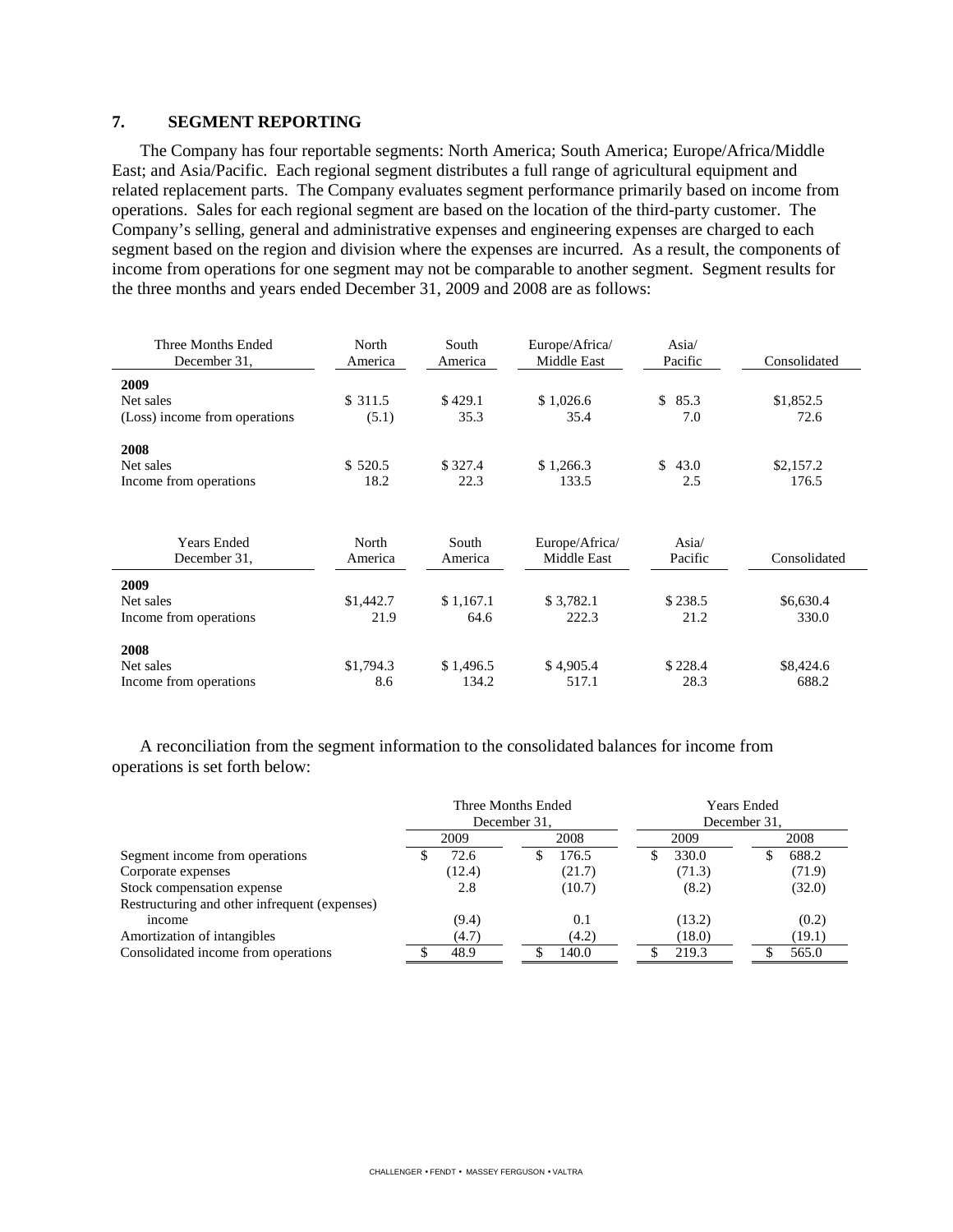#### **7. SEGMENT REPORTING**

The Company has four reportable segments: North America; South America; Europe/Africa/Middle East; and Asia/Pacific. Each regional segment distributes a full range of agricultural equipment and related replacement parts. The Company evaluates segment performance primarily based on income from operations. Sales for each regional segment are based on the location of the third-party customer. The Company's selling, general and administrative expenses and engineering expenses are charged to each segment based on the region and division where the expenses are incurred. As a result, the components of income from operations for one segment may not be comparable to another segment. Segment results for the three months and years ended December 31, 2009 and 2008 are as follows:

| Three Months Ended<br>December 31. | North<br>America | South<br>America | Europe/Africa/<br>Middle East |                      | Consolidated |
|------------------------------------|------------------|------------------|-------------------------------|----------------------|--------------|
| 2009                               |                  |                  |                               |                      |              |
| Net sales                          | \$311.5          | \$429.1          | \$1,026.6                     | $\mathbb{S}$<br>85.3 | \$1,852.5    |
| (Loss) income from operations      | (5.1)            | 35.3             | 35.4                          | 7.0                  | 72.6         |
| 2008                               |                  |                  |                               |                      |              |
| Net sales                          | \$520.5          | \$327.4          | \$1,266.3                     | \$<br>43.0           | \$2,157.2    |
| Income from operations             | 18.2             | 22.3             | 133.5                         | 2.5                  | 176.5        |
|                                    |                  |                  |                               |                      |              |
| <b>Years Ended</b>                 | North            | South            | Europe/Africa/                | Asia/                |              |
| December 31,                       | America          | America          | Middle East                   | Pacific              | Consolidated |
| 2009                               |                  |                  |                               |                      |              |
| Net sales                          | \$1,442.7        | \$1,167.1        | \$3,782.1                     | \$238.5              | \$6,630.4    |
| Income from operations             | 21.9             | 64.6             | 222.3                         | 21.2                 | 330.0        |
| 2008                               |                  |                  |                               |                      |              |
| Net sales                          | \$1,794.3        | \$1,496.5        | \$4,905.4                     | \$228.4              | \$8,424.6    |
| Income from operations             | 8.6              | 134.2            | 517.1                         | 28.3                 | 688.2        |

A reconciliation from the segment information to the consolidated balances for income from operations is set forth below:

|                                               | Three Months Ended<br>December 31. |              |  | <b>Years Ended</b><br>December 31, |  |        |      |        |
|-----------------------------------------------|------------------------------------|--------------|--|------------------------------------|--|--------|------|--------|
|                                               |                                    | 2009<br>2008 |  | 2009                               |  |        | 2008 |        |
| Segment income from operations                |                                    | 72.6         |  | 176.5                              |  | 330.0  |      | 688.2  |
| Corporate expenses                            |                                    | (12.4)       |  | (21.7)                             |  | (71.3) |      | (71.9) |
| Stock compensation expense                    |                                    | 2.8          |  | (10.7)                             |  | (8.2)  |      | (32.0) |
| Restructuring and other infrequent (expenses) |                                    |              |  |                                    |  |        |      |        |
| income                                        |                                    | (9.4)        |  | 0.1                                |  | (13.2) |      | (0.2)  |
| Amortization of intangibles                   |                                    | (4.7)        |  | (4.2)                              |  | (18.0) |      | (19.1) |
| Consolidated income from operations           |                                    | 48.9         |  | 140.0                              |  | 219.3  |      | 565.0  |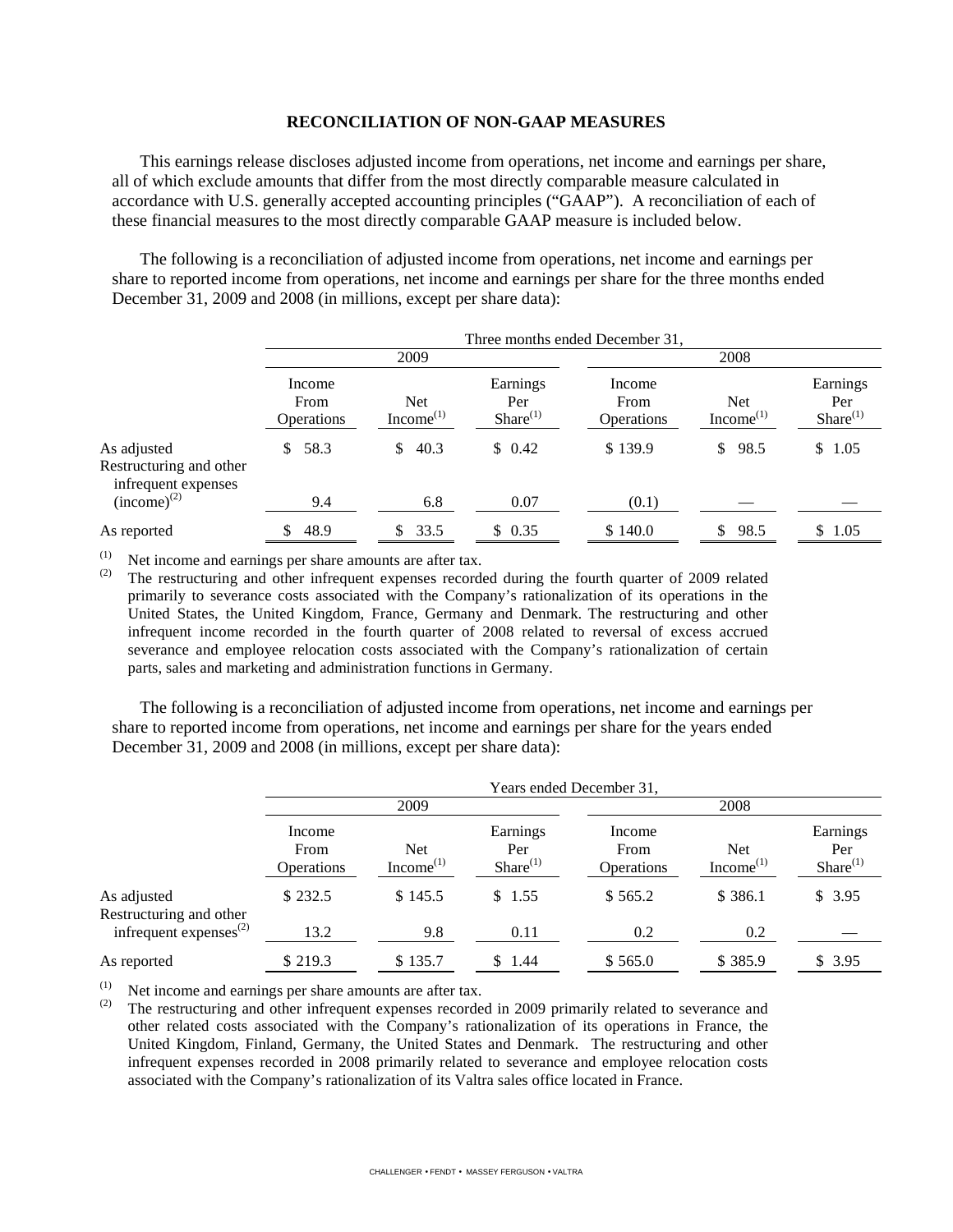#### **RECONCILIATION OF NON-GAAP MEASURES**

This earnings release discloses adjusted income from operations, net income and earnings per share, all of which exclude amounts that differ from the most directly comparable measure calculated in accordance with U.S. generally accepted accounting principles ("GAAP"). A reconciliation of each of these financial measures to the most directly comparable GAAP measure is included below.

The following is a reconciliation of adjusted income from operations, net income and earnings per share to reported income from operations, net income and earnings per share for the three months ended December 31, 2009 and 2008 (in millions, except per share data):

|                                                               | Three months ended December 31,     |                              |                                  |                                     |                                     |                                  |  |
|---------------------------------------------------------------|-------------------------------------|------------------------------|----------------------------------|-------------------------------------|-------------------------------------|----------------------------------|--|
|                                                               | 2009                                |                              |                                  | 2008                                |                                     |                                  |  |
|                                                               | Income<br>From<br><b>Operations</b> | Net<br>Income <sup>(1)</sup> | Earnings<br>Per<br>$Share^{(1)}$ | Income<br>From<br><b>Operations</b> | <b>Net</b><br>Income <sup>(1)</sup> | Earnings<br>Per<br>$Share^{(1)}$ |  |
| As adjusted<br>Restructuring and other<br>infrequent expenses | 58.3<br>\$                          | 40.3<br>\$.                  | \$0.42                           | \$139.9                             | \$98.5                              | \$1.05                           |  |
| $(income)^{(2)}$                                              | 9.4                                 | 6.8                          | 0.07                             | (0.1)                               |                                     |                                  |  |
| As reported                                                   | 48.9                                | 33.5<br>S.                   | \$0.35                           | \$140.0                             | 98.5<br>S                           | \$1.05                           |  |

(1) Net income and earnings per share amounts are after tax.<br>(2) The restructuring and other infragment expenses records

The restructuring and other infrequent expenses recorded during the fourth quarter of 2009 related primarily to severance costs associated with the Company's rationalization of its operations in the United States, the United Kingdom, France, Germany and Denmark. The restructuring and other infrequent income recorded in the fourth quarter of 2008 related to reversal of excess accrued severance and employee relocation costs associated with the Company's rationalization of certain parts, sales and marketing and administration functions in Germany.

The following is a reconciliation of adjusted income from operations, net income and earnings per share to reported income from operations, net income and earnings per share for the years ended December 31, 2009 and 2008 (in millions, except per share data):

|                                        | Years ended December 31,            |                                     |                                  |                                     |                                     |                                  |  |
|----------------------------------------|-------------------------------------|-------------------------------------|----------------------------------|-------------------------------------|-------------------------------------|----------------------------------|--|
|                                        | 2009                                |                                     |                                  | 2008                                |                                     |                                  |  |
|                                        | Income<br>From<br><b>Operations</b> | <b>Net</b><br>Income <sup>(1)</sup> | Earnings<br>Per<br>$Share^{(1)}$ | Income<br>From<br><b>Operations</b> | <b>Net</b><br>Income <sup>(1)</sup> | Earnings<br>Per<br>$Share^{(1)}$ |  |
| As adjusted<br>Restructuring and other | \$232.5                             | \$145.5                             | \$1.55                           | \$565.2                             | \$386.1                             | \$3.95                           |  |
| infrequent expenses $^{(2)}$           | 13.2                                | 9.8                                 | 0.11                             | 0.2                                 | 0.2                                 |                                  |  |
| As reported                            | \$219.3                             | \$135.7                             | \$ 1.44                          | \$565.0                             | \$385.9                             | \$3.95                           |  |

(1) Net income and earnings per share amounts are after tax.<br>(2) The restructuring and other infraeuent expenses recorded

The restructuring and other infrequent expenses recorded in 2009 primarily related to severance and other related costs associated with the Company's rationalization of its operations in France, the United Kingdom, Finland, Germany, the United States and Denmark. The restructuring and other infrequent expenses recorded in 2008 primarily related to severance and employee relocation costs associated with the Company's rationalization of its Valtra sales office located in France.